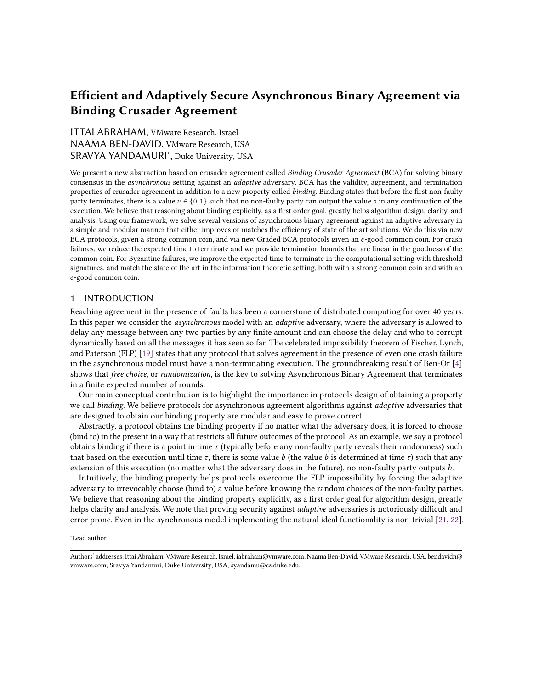# Efficient and Adaptively Secure Asynchronous Binary Agreement via Binding Crusader Agreement

# ITTAI ABRAHAM, VMware Research, Israel NAAMA BEN-DAVID, VMware Research, USA SRAVYA YANDAMURI<sup>∗</sup> , Duke University, USA

We present a new abstraction based on crusader agreement called Binding Crusader Agreement (BCA) for solving binary consensus in the asynchronous setting against an adaptive adversary. BCA has the validity, agreement, and termination properties of crusader agreement in addition to a new property called binding. Binding states that before the first non-faulty party terminates, there is a value  $v \in \{0, 1\}$  such that no non-faulty party can output the value  $v$  in any continuation of the execution. We believe that reasoning about binding explicitly, as a first order goal, greatly helps algorithm design, clarity, and analysis. Using our framework, we solve several versions of asynchronous binary agreement against an adaptive adversary in a simple and modular manner that either improves or matches the efficiency of state of the art solutions. We do this via new BCA protocols, given a strong common coin, and via new Graded BCA protocols given an  $\epsilon$ -good common coin. For crash failures, we reduce the expected time to terminate and we provide termination bounds that are linear in the goodness of the common coin. For Byzantine failures, we improve the expected time to terminate in the computational setting with threshold signatures, and match the state of the art in the information theoretic setting, both with a strong common coin and with an  $\epsilon$ -good common coin.

### 1 INTRODUCTION

Reaching agreement in the presence of faults has been a cornerstone of distributed computing for over 40 years. In this paper we consider the *asynchronous* model with an *adaptive* adversary, where the adversary is allowed to delay any message between any two parties by any finite amount and can choose the delay and who to corrupt dynamically based on all the messages it has seen so far. The celebrated impossibility theorem of Fischer, Lynch, and Paterson (FLP) [\[19\]](#page-16-0) states that any protocol that solves agreement in the presence of even one crash failure in the asynchronous model must have a non-terminating execution. The groundbreaking result of Ben-Or [\[4\]](#page-16-1) shows that free choice, or randomization, is the key to solving Asynchronous Binary Agreement that terminates in a finite expected number of rounds.

Our main conceptual contribution is to highlight the importance in protocols design of obtaining a property we call binding. We believe protocols for asynchronous agreement algorithms against *adaptive* adversaries that are designed to obtain our binding property are modular and easy to prove correct.

Abstractly, a protocol obtains the binding property if no matter what the adversary does, it is forced to choose (bind to) in the present in a way that restricts all future outcomes of the protocol. As an example, we say a protocol obtains binding if there is a point in time  $\tau$  (typically before any non-faulty party reveals their randomness) such that based on the execution until time  $\tau$ , there is some value b (the value b is determined at time  $\tau$ ) such that any extension of this execution (no matter what the adversary does in the future), no non-faulty party outputs  $b$ .

Intuitively, the binding property helps protocols overcome the FLP impossibility by forcing the adaptive adversary to irrevocably choose (bind to) a value before knowing the random choices of the non-faulty parties. We believe that reasoning about the binding property explicitly, as a first order goal for algorithm design, greatly helps clarity and analysis. We note that proving security against *adaptive* adversaries is notoriously difficult and error prone. Even in the synchronous model implementing the natural ideal functionality is non-trivial [\[21,](#page-16-2) [22\]](#page-16-3).

<sup>∗</sup>Lead author.

Authors' addresses: Ittai Abraham, VMware Research, Israel, iabraham@vmware.com; Naama Ben-David, VMware Research, USA, bendavidn@ vmware.com; Sravya Yandamuri, Duke University, USA, syandamu@cs.duke.edu.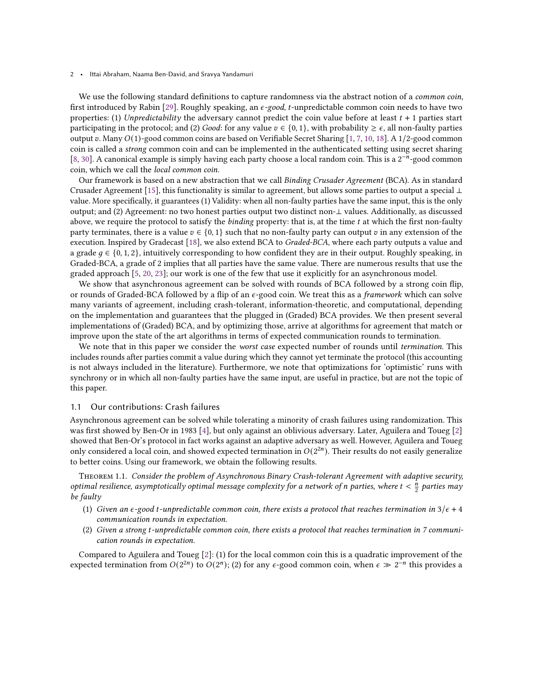We use the following standard definitions to capture randomness via the abstract notion of a *common coin*, first introduced by Rabin [\[29\]](#page-17-0). Roughly speaking, an  $\epsilon$ -good, t-unpredictable common coin needs to have two properties: (1) Unpredictability the adversary cannot predict the coin value before at least  $t + 1$  parties start participating in the protocol; and (2) Good: for any value  $v \in \{0, 1\}$ , with probability  $\geq \epsilon$ , all non-faulty parties output v. Many  $O(1)$ -good common coins are based on Verifiable Secret Sharing [\[1,](#page-16-4) [7,](#page-16-5) [10,](#page-16-6) [18\]](#page-16-7). A 1/2-good common coin is called a strong common coin and can be implemented in the authenticated setting using secret sharing [\[8,](#page-16-8) [30\]](#page-17-1). A canonical example is simply having each party choose a local random coin. This is a  $2^{-n}$ -good common coin, which we call the local common coin.

Our framework is based on a new abstraction that we call Binding Crusader Agreement (BCA). As in standard Crusader Agreement [\[15\]](#page-16-9), this functionality is similar to agreement, but allows some parties to output a special ⊥ value. More specifically, it guarantees (1) Validity: when all non-faulty parties have the same input, this is the only output; and (2) Agreement: no two honest parties output two distinct non-⊥ values. Additionally, as discussed above, we require the protocol to satisfy the *binding* property: that is, at the time  $t$  at which the first non-faulty party terminates, there is a value  $v \in \{0, 1\}$  such that no non-faulty party can output v in any extension of the execution. Inspired by Gradecast [\[18\]](#page-16-7), we also extend BCA to Graded-BCA, where each party outputs a value and a grade  $q \in \{0, 1, 2\}$ , intuitively corresponding to how confident they are in their output. Roughly speaking, in Graded-BCA, a grade of 2 implies that all parties have the same value. There are numerous results that use the graded approach [\[5,](#page-16-10) [20,](#page-16-11) [23\]](#page-16-12); our work is one of the few that use it explicitly for an asynchronous model.

We show that asynchronous agreement can be solved with rounds of BCA followed by a strong coin flip, or rounds of Graded-BCA followed by a flip of an  $\epsilon$ -good coin. We treat this as a *framework* which can solve many variants of agreement, including crash-tolerant, information-theoretic, and computational, depending on the implementation and guarantees that the plugged in (Graded) BCA provides. We then present several implementations of (Graded) BCA, and by optimizing those, arrive at algorithms for agreement that match or improve upon the state of the art algorithms in terms of expected communication rounds to termination.

We note that in this paper we consider the *worst case* expected number of rounds until *termination*. This includes rounds after parties commit a value during which they cannot yet terminate the protocol (this accounting is not always included in the literature). Furthermore, we note that optimizations for 'optimistic' runs with synchrony or in which all non-faulty parties have the same input, are useful in practice, but are not the topic of this paper.

#### 1.1 Our contributions: Crash failures

Asynchronous agreement can be solved while tolerating a minority of crash failures using randomization. This was first showed by Ben-Or in 1983 [\[4\]](#page-16-1), but only against an oblivious adversary. Later, Aguilera and Toueg [\[2\]](#page-16-13) showed that Ben-Or's protocol in fact works against an adaptive adversary as well. However, Aguilera and Toueg only considered a local coin, and showed expected termination in  $O(2^{2n})$ . Their results do not easily generalize to better coins. Using our framework, we obtain the following results.

Theorem 1.1. Consider the problem of Asynchronous Binary Crash-tolerant Agreement with adaptive security, optimal resilience, asymptotically optimal message complexity for a network of n parties, where  $t < \frac{h}{2}$  parties may be faulty

- (1) Given an  $\epsilon$ -good t-unpredictable common coin, there exists a protocol that reaches termination in  $3/\epsilon + 4$ communication rounds in expectation.
- (2) Given a strong t-unpredictable common coin, there exists a protocol that reaches termination in 7 communication rounds in expectation.

Compared to Aguilera and Toueg [\[2\]](#page-16-13): (1) for the local common coin this is a quadratic improvement of the expected termination from  $O(2^{2n})$  to  $O(2^n)$ ; (2) for any  $\epsilon$ -good common coin, when  $\epsilon \gg 2^{-n}$  this provides a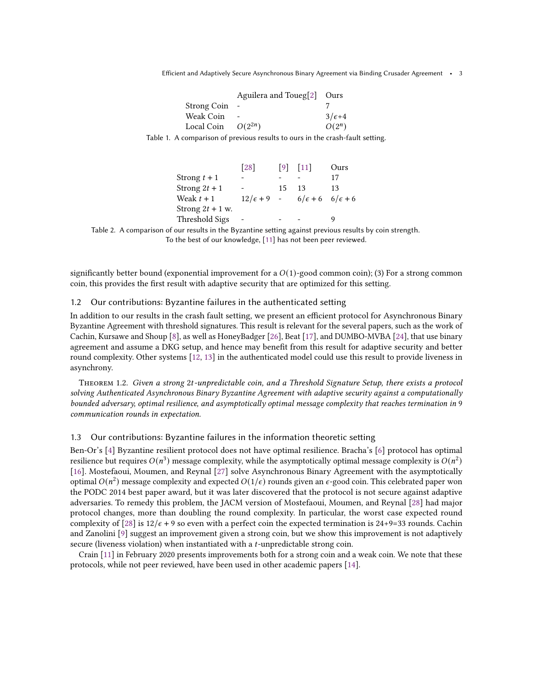Efficient and Adaptively Secure Asynchronous Binary Agreement via Binding Crusader Agreement • 3

|                    | Aguilera and Toueg[2] Ours |                  |
|--------------------|----------------------------|------------------|
| <b>Strong Coin</b> |                            |                  |
| Weak Coin          |                            | $3/\epsilon + 4$ |
| Local Coin         | $O(2^{2n})$                | $O(2^n)$         |

Table 1. A comparison of previous results to ours in the crash-fault setting.

|                    | $\lceil 28 \rceil$  |    | $\begin{bmatrix} 9 \end{bmatrix}$ $\begin{bmatrix} 11 \end{bmatrix}$ | Ours |
|--------------------|---------------------|----|----------------------------------------------------------------------|------|
| Strong $t + 1$     |                     |    |                                                                      | 17   |
| Strong $2t + 1$    |                     | 15 | 13                                                                   | 13   |
| Weak $t + 1$       | $12/\epsilon + 9$ - |    | $6/\epsilon + 6$ $6/\epsilon + 6$                                    |      |
| Strong $2t + 1$ w. |                     |    |                                                                      |      |
| Threshold Sigs     |                     |    |                                                                      |      |

Table 2. A comparison of our results in the Byzantine setting against previous results by coin strength. To the best of our knowledge, [\[11\]](#page-16-15) has not been peer reviewed.

significantly better bound (exponential improvement for a  $O(1)$ -good common coin); (3) For a strong common coin, this provides the first result with adaptive security that are optimized for this setting.

### 1.2 Our contributions: Byzantine failures in the authenticated setting

In addition to our results in the crash fault setting, we present an efficient protocol for Asynchronous Binary Byzantine Agreement with threshold signatures. This result is relevant for the several papers, such as the work of Cachin, Kursawe and Shoup [\[8\]](#page-16-8), as well as HoneyBadger [\[26\]](#page-16-16), Beat [\[17\]](#page-16-17), and DUMBO-MVBA [\[24\]](#page-16-18), that use binary agreement and assume a DKG setup, and hence may benefit from this result for adaptive security and better round complexity. Other systems [\[12,](#page-16-19) [13\]](#page-16-20) in the authenticated model could use this result to provide liveness in asynchrony.

THEOREM 1.2. Given a strong 2t-unpredictable coin, and a Threshold Signature Setup, there exists a protocol solving Authenticated Asynchronous Binary Byzantine Agreement with adaptive security against a computationally bounded adversary, optimal resilience, and asymptotically optimal message complexity that reaches termination in 9 communication rounds in expectation.

### 1.3 Our contributions: Byzantine failures in the information theoretic setting

Ben-Or's [\[4\]](#page-16-1) Byzantine resilient protocol does not have optimal resilience. Bracha's [\[6\]](#page-16-21) protocol has optimal resilience but requires  $O(n^3)$  message complexity, while the asymptotically optimal message complexity is  $O(n^2)$ [\[16\]](#page-16-22). Mostefaoui, Moumen, and Reynal [\[27\]](#page-17-3) solve Asynchronous Binary Agreement with the asymptotically optimal  $O(n^2)$  message complexity and expected  $O(1/\epsilon)$  rounds given an  $\epsilon$ -good coin. This celebrated paper won the PODC 2014 best paper award, but it was later discovered that the protocol is not secure against adaptive adversaries. To remedy this problem, the JACM version of Mostefaoui, Moumen, and Reynal [\[28\]](#page-17-2) had major protocol changes, more than doubling the round complexity. In particular, the worst case expected round complexity of [\[28\]](#page-17-2) is  $12/\epsilon + 9$  so even with a perfect coin the expected termination is 24+9=33 rounds. Cachin and Zanolini [\[9\]](#page-16-14) suggest an improvement given a strong coin, but we show this improvement is not adaptively secure (liveness violation) when instantiated with a  $t$ -unpredictable strong coin.

Crain [\[11\]](#page-16-15) in February 2020 presents improvements both for a strong coin and a weak coin. We note that these protocols, while not peer reviewed, have been used in other academic papers [\[14\]](#page-16-23).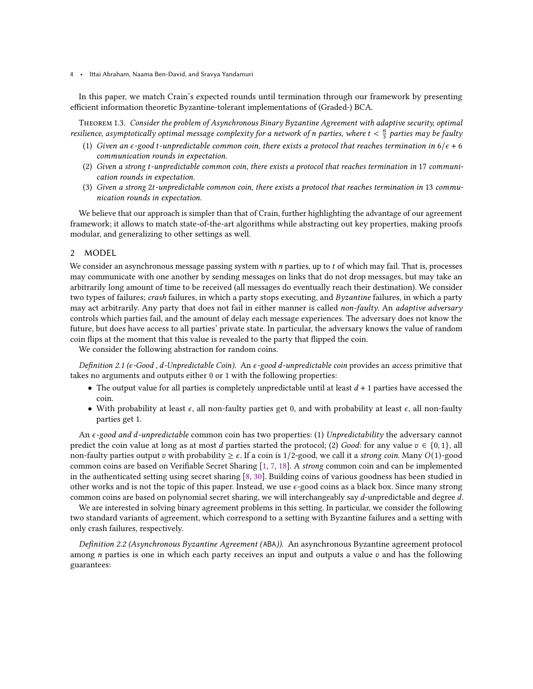In this paper, we match Crain's expected rounds until termination through our framework by presenting efficient information theoretic Byzantine-tolerant implementations of (Graded-) BCA.

Theorem 1.3. Consider the problem of Asynchronous Binary Byzantine Agreement with adaptive security, optimal resilience, asymptotically optimal message complexity for a network of n parties, where  $t < \frac{n}{3}$  parties may be faulty

- (1) Given an  $\epsilon$ -good t-unpredictable common coin, there exists a protocol that reaches termination in  $6/\epsilon$  + 6 communication rounds in expectation.
- (2) Given a strong t-unpredictable common coin, there exists a protocol that reaches termination in 17 communication rounds in expectation.
- (3) Given a strong 2-unpredictable common coin, there exists a protocol that reaches termination in 13 communication rounds in expectation.

We believe that our approach is simpler than that of Crain, further highlighting the advantage of our agreement framework; it allows to match state-of-the-art algorithms while abstracting out key properties, making proofs modular, and generalizing to other settings as well.

### 2 MODEL

We consider an asynchronous message passing system with  $n$  parties, up to  $t$  of which may fail. That is, processes may communicate with one another by sending messages on links that do not drop messages, but may take an arbitrarily long amount of time to be received (all messages do eventually reach their destination). We consider two types of failures; crash failures, in which a party stops executing, and Byzantine failures, in which a party may act arbitrarily. Any party that does not fail in either manner is called non-faulty. An adaptive adversary controls which parties fail, and the amount of delay each message experiences. The adversary does not know the future, but does have access to all parties' private state. In particular, the adversary knows the value of random coin flips at the moment that this value is revealed to the party that flipped the coin.

We consider the following abstraction for random coins.

Definition 2.1 ( $\epsilon$ -Good, d-Unpredictable Coin). An  $\epsilon$ -good d-unpredictable coin provides an access primitive that takes no arguments and outputs either 0 or 1 with the following properties:

- The output value for all parties is completely unpredictable until at least  $d + 1$  parties have accessed the coin.
- With probability at least  $\epsilon$ , all non-faulty parties get 0, and with probability at least  $\epsilon$ , all non-faulty parties get 1.

An  $\epsilon$ -good and d-unpredictable common coin has two properties: (1) Unpredictability the adversary cannot predict the coin value at long as at most *d* parties started the protocol; (2) Good: for any value  $v \in \{0, 1\}$ , all non-faulty parties output v with probability  $\geq \epsilon$ . If a coin is 1/2-good, we call it a strong coin. Many O(1)-good common coins are based on Verifiable Secret Sharing [\[1,](#page-16-4) [7,](#page-16-5) [18\]](#page-16-7). A strong common coin and can be implemented in the authenticated setting using secret sharing [\[8,](#page-16-8) [30\]](#page-17-1). Building coins of various goodness has been studied in other works and is not the topic of this paper. Instead, we use  $\epsilon$ -good coins as a black box. Since many strong common coins are based on polynomial secret sharing, we will interchangeably say  $d$ -unpredictable and degree  $d$ .

We are interested in solving binary agreement problems in this setting. In particular, we consider the following two standard variants of agreement, which correspond to a setting with Byzantine failures and a setting with only crash failures, respectively.

Definition 2.2 (Asynchronous Byzantine Agreement (ABA)). An asynchronous Byzantine agreement protocol among  $n$  parties is one in which each party receives an input and outputs a value  $v$  and has the following guarantees: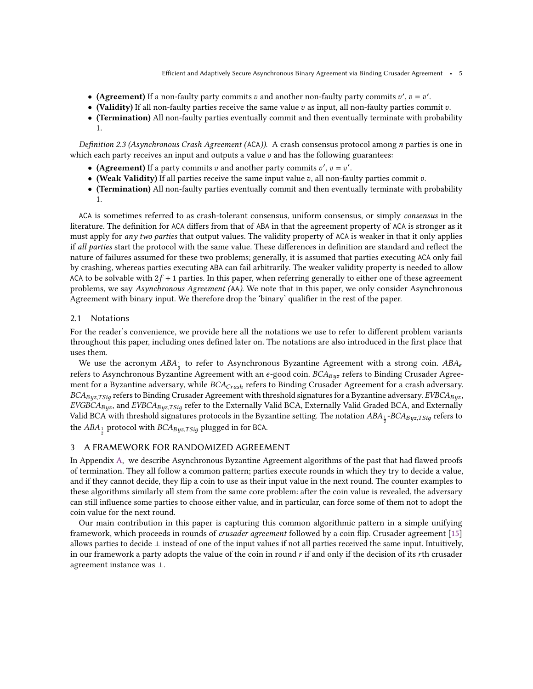- (Agreement) If a non-faulty party commits  $v$  and another non-faulty party commits  $v'$ ,  $v = v'$ .
- (Validity) If all non-faulty parties receive the same value  $v$  as input, all non-faulty parties commit  $v$ .
- (Termination) All non-faulty parties eventually commit and then eventually terminate with probability 1.

Definition 2.3 (Asynchronous Crash Agreement (ACA)). A crash consensus protocol among *n* parties is one in which each party receives an input and outputs a value  $v$  and has the following guarantees:

- (Agreement) If a party commits  $v$  and another party commits  $v'$ ,  $v = v'$ .
- (Weak Validity) If all parties receive the same input value  $v$ , all non-faulty parties commit  $v$ .
- (Termination) All non-faulty parties eventually commit and then eventually terminate with probability 1.

ACA is sometimes referred to as crash-tolerant consensus, uniform consensus, or simply consensus in the literature. The definition for ACA differs from that of ABA in that the agreement property of ACA is stronger as it must apply for any two parties that output values. The validity property of ACA is weaker in that it only applies if all parties start the protocol with the same value. These differences in definition are standard and reflect the nature of failures assumed for these two problems; generally, it is assumed that parties executing ACA only fail by crashing, whereas parties executing ABA can fail arbitrarily. The weaker validity property is needed to allow ACA to be solvable with  $2f + 1$  parties. In this paper, when referring generally to either one of these agreement problems, we say Asynchronous Agreement (AA). We note that in this paper, we only consider Asynchronous Agreement with binary input. We therefore drop the 'binary' qualifier in the rest of the paper.

### 2.1 Notations

For the reader's convenience, we provide here all the notations we use to refer to different problem variants throughout this paper, including ones defined later on. The notations are also introduced in the first place that uses them.

We use the acronym  $ABA_{\frac{1}{2}}$  to refer to Asynchronous Byzantine Agreement with a strong coin.  $ABA_{\epsilon}$ refers to Asynchronous Byzantine Agreement with an  $\epsilon$ -good coin.  $BCA_{Byz}$  refers to Binding Crusader Agreement for a Byzantine adversary, while  $BCA_{Crash}$  refers to Binding Crusader Agreement for a crash adversary.  $BCA_{Buz,TSig}$  refers to Binding Crusader Agreement with threshold signatures for a Byzantine adversary. EVBC $A_{Buz}$ ,  $EVGBCA_{Byz}$ , and  $EVBCA_{Byz,TSig}$  refer to the Externally Valid BCA, Externally Valid Graded BCA, and Externally Valid BCA with threshold signatures protocols in the Byzantine setting. The notation  $ABA_{\frac{1}{2}}$ -BC $A_{Byz,TSig}$  refers to the  $ABA_{\frac{1}{2}}$  protocol with  $BCA_{Byz,TSig}$  plugged in for BCA.

### <span id="page-4-0"></span>3 A FRAMEWORK FOR RANDOMIZED AGREEMENT

In Appendix [A,](#page-17-4) we describe Asynchronous Byzantine Agreement algorithms of the past that had flawed proofs of termination. They all follow a common pattern; parties execute rounds in which they try to decide a value, and if they cannot decide, they flip a coin to use as their input value in the next round. The counter examples to these algorithms similarly all stem from the same core problem: after the coin value is revealed, the adversary can still influence some parties to choose either value, and in particular, can force some of them not to adopt the coin value for the next round.

Our main contribution in this paper is capturing this common algorithmic pattern in a simple unifying framework, which proceeds in rounds of crusader agreement followed by a coin flip. Crusader agreement [\[15\]](#page-16-9) allows parties to decide ⊥ instead of one of the input values if not all parties received the same input. Intuitively, in our framework a party adopts the value of the coin in round  $r$  if and only if the decision of its  $r$ th crusader agreement instance was ⊥.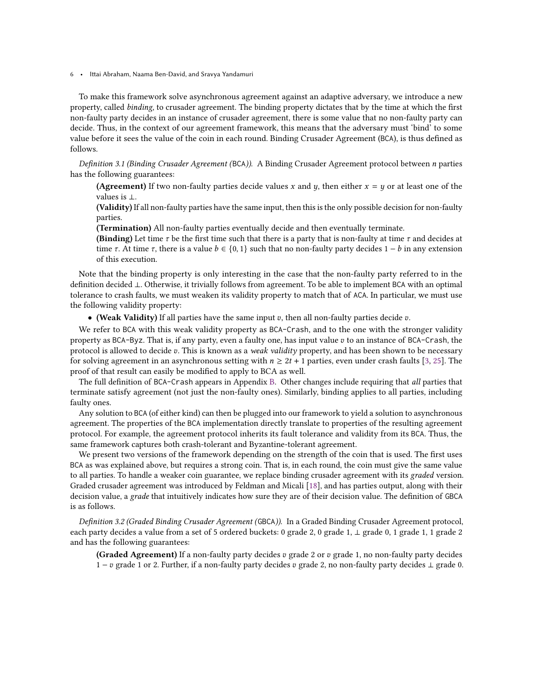To make this framework solve asynchronous agreement against an adaptive adversary, we introduce a new property, called binding, to crusader agreement. The binding property dictates that by the time at which the first non-faulty party decides in an instance of crusader agreement, there is some value that no non-faulty party can decide. Thus, in the context of our agreement framework, this means that the adversary must 'bind' to some value before it sees the value of the coin in each round. Binding Crusader Agreement (BCA), is thus defined as follows.

<span id="page-5-0"></span>Definition 3.1 (Binding Crusader Agreement (BCA)). A Binding Crusader Agreement protocol between parties has the following guarantees:

(Agreement) If two non-faulty parties decide values x and y, then either  $x = y$  or at least one of the values is ⊥.

(Validity) If all non-faulty parties have the same input, then this is the only possible decision for non-faulty parties.

(Termination) All non-faulty parties eventually decide and then eventually terminate.

**(Binding)** Let time  $\tau$  be the first time such that there is a party that is non-faulty at time  $\tau$  and decides at time  $\tau$ . At time  $\tau$ , there is a value  $b \in \{0, 1\}$  such that no non-faulty party decides  $1 - b$  in any extension of this execution.

Note that the binding property is only interesting in the case that the non-faulty party referred to in the definition decided ⊥. Otherwise, it trivially follows from agreement. To be able to implement BCA with an optimal tolerance to crash faults, we must weaken its validity property to match that of ACA. In particular, we must use the following validity property:

• (Weak Validity) If all parties have the same input  $v$ , then all non-faulty parties decide  $v$ .

We refer to BCA with this weak validity property as BCA-Crash, and to the one with the stronger validity property as BCA-Byz. That is, if any party, even a faulty one, has input value  $v$  to an instance of BCA-Crash, the protocol is allowed to decide  $v$ . This is known as a *weak validity* property, and has been shown to be necessary for solving agreement in an asynchronous setting with  $n \geq 2t + 1$  parties, even under crash faults [\[3,](#page-16-24) [25\]](#page-16-25). The proof of that result can easily be modified to apply to BCA as well.

The full definition of BCA-Crash appears in Appendix [B.](#page-18-0) Other changes include requiring that all parties that terminate satisfy agreement (not just the non-faulty ones). Similarly, binding applies to all parties, including faulty ones.

Any solution to BCA (of either kind) can then be plugged into our framework to yield a solution to asynchronous agreement. The properties of the BCA implementation directly translate to properties of the resulting agreement protocol. For example, the agreement protocol inherits its fault tolerance and validity from its BCA. Thus, the same framework captures both crash-tolerant and Byzantine-tolerant agreement.

We present two versions of the framework depending on the strength of the coin that is used. The first uses BCA as was explained above, but requires a strong coin. That is, in each round, the coin must give the same value to all parties. To handle a weaker coin guarantee, we replace binding crusader agreement with its graded version. Graded crusader agreement was introduced by Feldman and Micali [\[18\]](#page-16-7), and has parties output, along with their decision value, a grade that intuitively indicates how sure they are of their decision value. The definition of GBCA is as follows.

<span id="page-5-1"></span>Definition 3.2 (Graded Binding Crusader Agreement (GBCA)). In a Graded Binding Crusader Agreement protocol, each party decides a value from a set of 5 ordered buckets: 0 grade 2, 0 grade 1, ⊥ grade 0, 1 grade 1, 1 grade 2 and has the following guarantees:

(Graded Agreement) If a non-faulty party decides  $v$  grade 2 or  $v$  grade 1, no non-faulty party decides 1 − grade 1 or 2. Further, if a non-faulty party decides grade 2, no non-faulty party decides ⊥ grade 0.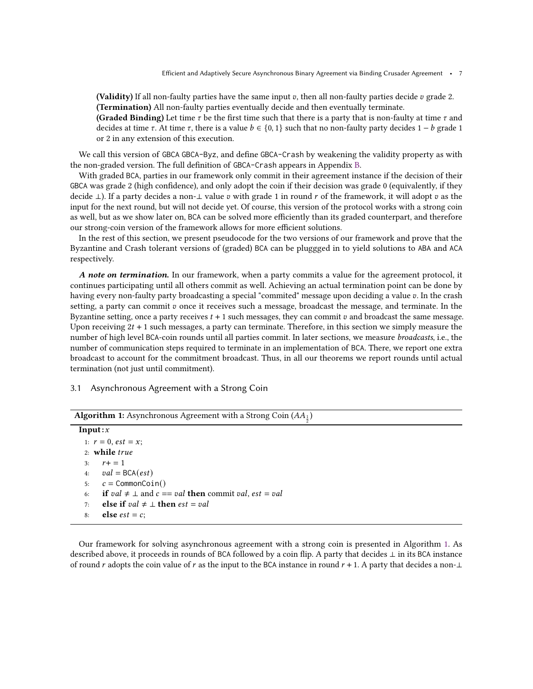(Validity) If all non-faulty parties have the same input  $v$ , then all non-faulty parties decide  $v$  grade 2. (Termination) All non-faulty parties eventually decide and then eventually terminate.

(Graded Binding) Let time  $\tau$  be the first time such that there is a party that is non-faulty at time  $\tau$  and decides at time  $\tau$ . At time  $\tau$ , there is a value  $b \in \{0, 1\}$  such that no non-faulty party decides 1 – b grade 1 or 2 in any extension of this execution.

We call this version of GBCA GBCA-Byz, and define GBCA-Crash by weakening the validity property as with the non-graded version. The full definition of GBCA-Crash appears in Appendix [B.](#page-18-0)

With graded BCA, parties in our framework only commit in their agreement instance if the decision of their GBCA was grade 2 (high confidence), and only adopt the coin if their decision was grade 0 (equivalently, if they decide ⊥). If a party decides a non-⊥ value  $v$  with grade 1 in round  $r$  of the framework, it will adopt  $v$  as the input for the next round, but will not decide yet. Of course, this version of the protocol works with a strong coin as well, but as we show later on, BCA can be solved more efficiently than its graded counterpart, and therefore our strong-coin version of the framework allows for more efficient solutions.

In the rest of this section, we present pseudocode for the two versions of our framework and prove that the Byzantine and Crash tolerant versions of (graded) BCA can be pluggged in to yield solutions to ABA and ACA respectively.

A note on termination. In our framework, when a party commits a value for the agreement protocol, it continues participating until all others commit as well. Achieving an actual termination point can be done by having every non-faulty party broadcasting a special "commited" message upon deciding a value v. In the crash setting, a party can commit  $v$  once it receives such a message, broadcast the message, and terminate. In the Byzantine setting, once a party receives  $t + 1$  such messages, they can commit  $v$  and broadcast the same message. Upon receiving  $2t + 1$  such messages, a party can terminate. Therefore, in this section we simply measure the number of high level BCA-coin rounds until all parties commit. In later sections, we measure broadcasts, i.e., the number of communication steps required to terminate in an implementation of BCA. There, we report one extra broadcast to account for the commitment broadcast. Thus, in all our theorems we report rounds until actual termination (not just until commitment).

### 3.1 Asynchronous Agreement with a Strong Coin

| <b>Algorithm 1:</b> Asynchronous Agreement with a Strong Coin ( $AA_{\frac{1}{2}}$ ) |  |
|--------------------------------------------------------------------------------------|--|
|--------------------------------------------------------------------------------------|--|

```
Input:x1: r = 0, est = x;
 2: while 
 3: r+=14: val = BCA(est)5: c = \text{CommonCoin}()6: if val \neq \perp and c == val then commit val, est = val7: else if val \neq \perp then est = val8: else est = c:
```
Our framework for solving asynchronous agreement with a strong coin is presented in Algorithm [1.](#page-6-0) As described above, it proceeds in rounds of BCA followed by a coin flip. A party that decides ⊥ in its BCA instance of round r adopts the coin value of r as the input to the BCA instance in round  $r + 1$ . A party that decides a non-⊥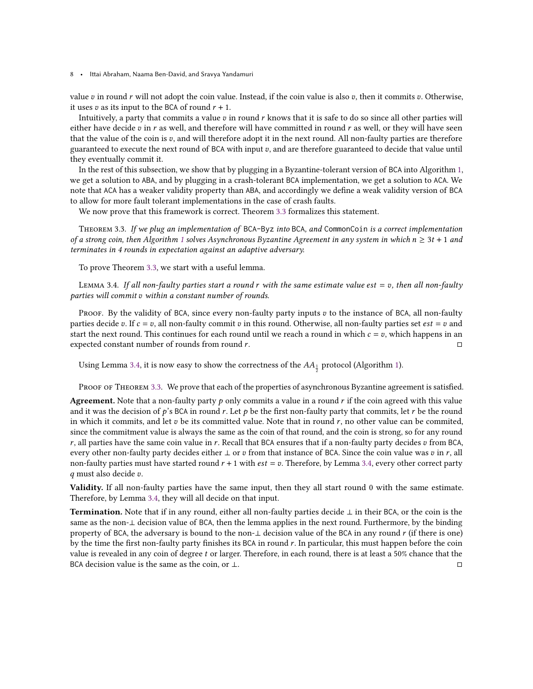value  $v$  in round  $r$  will not adopt the coin value. Instead, if the coin value is also  $v$ , then it commits  $v$ . Otherwise, it uses v as its input to the BCA of round  $r + 1$ .

Intuitively, a party that commits a value  $v$  in round  $r$  knows that it is safe to do so since all other parties will either have decide  $v$  in  $r$  as well, and therefore will have committed in round  $r$  as well, or they will have seen that the value of the coin is  $v$ , and will therefore adopt it in the next round. All non-faulty parties are therefore guaranteed to execute the next round of BCA with input  $v$ , and are therefore guaranteed to decide that value until they eventually commit it.

In the rest of this subsection, we show that by plugging in a Byzantine-tolerant version of BCA into Algorithm [1,](#page-6-0) we get a solution to ABA, and by plugging in a crash-tolerant BCA implementation, we get a solution to ACA. We note that ACA has a weaker validity property than ABA, and accordingly we define a weak validity version of BCA to allow for more fault tolerant implementations in the case of crash faults.

We now prove that this framework is correct. Theorem [3.3](#page-7-0) formalizes this statement.

<span id="page-7-0"></span>THEOREM 3.3. If we plug an implementation of BCA-Byz into BCA, and CommonCoin is a correct implementation of a strong coin, then Algorithm [1](#page-6-0) solves Asynchronous Byzantine Agreement in any system in which  $n \geq 3t + 1$  and terminates in 4 rounds in expectation against an adaptive adversary.

To prove Theorem [3.3,](#page-7-0) we start with a useful lemma.

<span id="page-7-1"></span>LEMMA 3.4. If all non-faulty parties start a round r with the same estimate value est  $=$  v, then all non-faulty parties will commit v within a constant number of rounds.

Proof. By the validity of BCA, since every non-faulty party inputs  $v$  to the instance of BCA, all non-faulty parties decide v. If  $c = v$ , all non-faulty commit v in this round. Otherwise, all non-faulty parties set  $est = v$  and start the next round. This continues for each round until we reach a round in which  $c = v$ , which happens in an expected constant number of rounds from round  $r$ .  $\Box$ 

Using Lemma [3.4,](#page-7-1) it is now easy to show the correctness of the  $AA_{\frac{1}{2}}$  protocol (Algorithm [1\)](#page-6-0).

PROOF OF THEOREM [3.3.](#page-7-0) We prove that each of the properties of asynchronous Byzantine agreement is satisfied.

**Agreement.** Note that a non-faulty party  $p$  only commits a value in a round  $r$  if the coin agreed with this value and it was the decision of  $p$ 's BCA in round r. Let  $p$  be the first non-faulty party that commits, let  $r$  be the round in which it commits, and let  $v$  be its committed value. Note that in round  $r$ , no other value can be commited, since the commitment value is always the same as the coin of that round, and the coin is strong, so for any round r, all parties have the same coin value in r. Recall that BCA ensures that if a non-faulty party decides  $v$  from BCA, every other non-faulty party decides either  $\perp$  or  $v$  from that instance of BCA. Since the coin value was  $v$  in  $r$ , all non-faulty parties must have started round  $r + 1$  with  $est = v$ . Therefore, by Lemma [3.4,](#page-7-1) every other correct party  $q$  must also decide  $v$ .

Validity. If all non-faulty parties have the same input, then they all start round 0 with the same estimate. Therefore, by Lemma [3.4,](#page-7-1) they will all decide on that input.

Termination. Note that if in any round, either all non-faulty parties decide ⊥ in their BCA, or the coin is the same as the non-⊥ decision value of BCA, then the lemma applies in the next round. Furthermore, by the binding property of BCA, the adversary is bound to the non- $\perp$  decision value of the BCA in any round  $r$  (if there is one) by the time the first non-faulty party finishes its BCA in round  $r$ . In particular, this must happen before the coin value is revealed in any coin of degree  $t$  or larger. Therefore, in each round, there is at least a 50% chance that the BCA decision value is the same as the coin, or  $\perp$ . □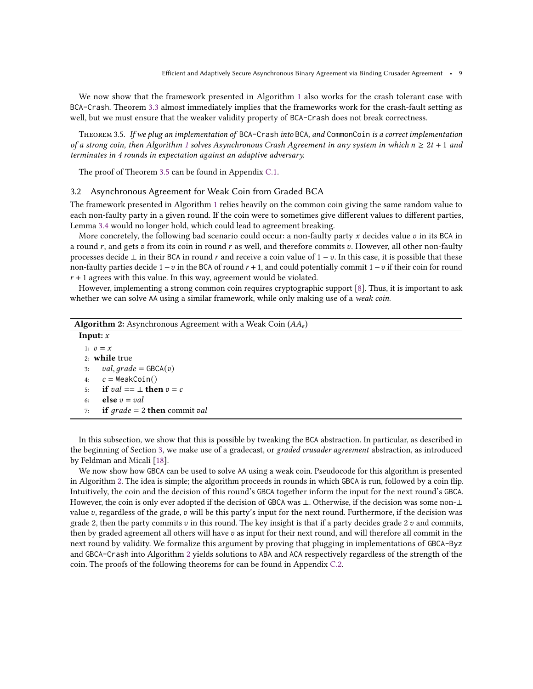We now show that the framework presented in Algorithm [1](#page-6-0) also works for the crash tolerant case with BCA-Crash. Theorem [3.3](#page-7-0) almost immediately implies that the frameworks work for the crash-fault setting as well, but we must ensure that the weaker validity property of BCA-Crash does not break correctness.

<span id="page-8-0"></span>THEOREM 3.5. If we plug an implementation of BCA-Crash into BCA, and CommonCoin is a correct implementation of a strong coin, then Algorithm [1](#page-6-0) solves Asynchronous Crash Agreement in any system in which  $n \geq 2t + 1$  and terminates in 4 rounds in expectation against an adaptive adversary.

The proof of Theorem [3.5](#page-8-0) can be found in Appendix [C.1.](#page-18-1)

### 3.2 Asynchronous Agreement for Weak Coin from Graded BCA

The framework presented in Algorithm [1](#page-6-0) relies heavily on the common coin giving the same random value to each non-faulty party in a given round. If the coin were to sometimes give different values to different parties, Lemma [3.4](#page-7-1) would no longer hold, which could lead to agreement breaking.

More concretely, the following bad scenario could occur: a non-faulty party x decides value  $v$  in its BCA in a round  $r$ , and gets  $v$  from its coin in round  $r$  as well, and therefore commits  $v$ . However, all other non-faulty processes decide  $\perp$  in their BCA in round r and receive a coin value of  $1 - v$ . In this case, it is possible that these non-faulty parties decide  $1 - v$  in the BCA of round  $r + 1$ , and could potentially commit  $1 - v$  if their coin for round  $r + 1$  agrees with this value. In this way, agreement would be violated.

However, implementing a strong common coin requires cryptographic support [\[8\]](#page-16-8). Thus, it is important to ask whether we can solve AA using a similar framework, while only making use of a *weak coin*.

<span id="page-8-1"></span>

| <b>Algorithm 2:</b> Asynchronous Agreement with a Weak Coin $(AA_{\epsilon})$ |  |  |  |  |
|-------------------------------------------------------------------------------|--|--|--|--|
| Input: $x$                                                                    |  |  |  |  |
| 1: $v = x$                                                                    |  |  |  |  |
| $2:$ while true                                                               |  |  |  |  |
| <i>val, grade</i> = $GBCA(v)$<br>3:                                           |  |  |  |  |
| $c =$ WeakCoin()<br>4:                                                        |  |  |  |  |
| if $val == \perp$ then $v = c$<br>5:                                          |  |  |  |  |
| else $v = val$<br>6:                                                          |  |  |  |  |
| if $grade = 2$ then commit val<br>7:                                          |  |  |  |  |

In this subsection, we show that this is possible by tweaking the BCA abstraction. In particular, as described in the beginning of Section [3,](#page-4-0) we make use of a gradecast, or graded crusader agreement abstraction, as introduced by Feldman and Micali [\[18\]](#page-16-7).

We now show how GBCA can be used to solve AA using a weak coin. Pseudocode for this algorithm is presented in Algorithm [2.](#page-8-1) The idea is simple; the algorithm proceeds in rounds in which GBCA is run, followed by a coin flip. Intuitively, the coin and the decision of this round's GBCA together inform the input for the next round's GBCA. However, the coin is only ever adopted if the decision of GBCA was ⊥. Otherwise, if the decision was some non-⊥ value  $v$ , regardless of the grade,  $v$  will be this party's input for the next round. Furthermore, if the decision was grade 2, then the party commits  $v$  in this round. The key insight is that if a party decides grade 2  $v$  and commits, then by graded agreement all others will have  $v$  as input for their next round, and will therefore all commit in the next round by validity. We formalize this argument by proving that plugging in implementations of GBCA-Byz and GBCA-Crash into Algorithm [2](#page-8-1) yields solutions to ABA and ACA respectively regardless of the strength of the coin. The proofs of the following theorems for can be found in Appendix [C.2.](#page-19-0)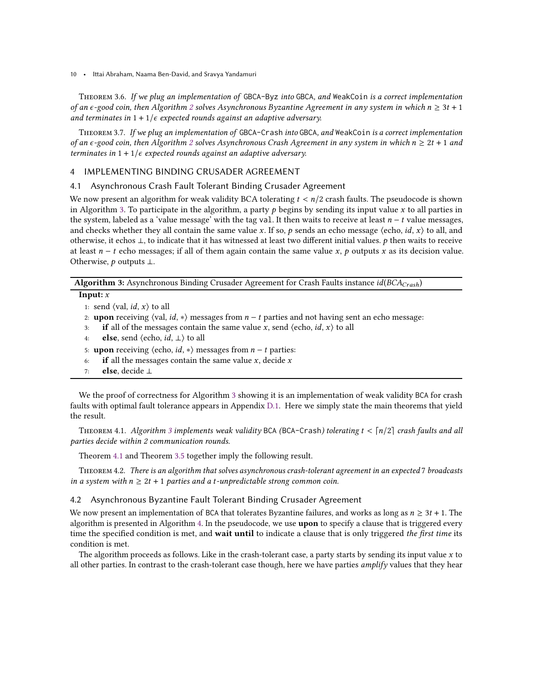<span id="page-9-2"></span>Theorem 3.6. If we plug an implementation of GBCA-Byz into GBCA, and WeakCoin is a correct implementation of an  $\epsilon$ -good coin, then Algorithm [2](#page-8-1) solves Asynchronous Byzantine Agreement in any system in which  $n \geq 3t + 1$ and terminates in  $1 + 1/\epsilon$  expected rounds against an adaptive adversary.

<span id="page-9-3"></span>THEOREM 3.7. If we plug an implementation of GBCA-Crash into GBCA, and WeakCoin is a correct implementation of an  $\epsilon$ -good coin, then Algorithm [2](#page-8-1) solves Asynchronous Crash Agreement in any system in which  $n \geq 2t + 1$  and terminates in  $1 + 1/\epsilon$  expected rounds against an adaptive adversary.

### 4 IMPLEMENTING BINDING CRUSADER AGREEMENT

## 4.1 Asynchronous Crash Fault Tolerant Binding Crusader Agreement

We now present an algorithm for weak validity BCA tolerating  $t < n/2$  crash faults. The pseudocode is shown in Algorithm [3.](#page-9-0) To participate in the algorithm, a party  $p$  begins by sending its input value  $x$  to all parties in the system, labeled as a 'value message' with the tag val. It then waits to receive at least  $n - t$  value messages, and checks whether they all contain the same value x. If so,  $p$  sends an echo message  $\langle$ echo, *id*, *x* $\rangle$  to all, and otherwise, it echos  $\perp$ , to indicate that it has witnessed at least two different initial values.  $p$  then waits to receive at least  $n - t$  echo messages; if all of them again contain the same value  $x$ ,  $p$  outputs  $x$  as its decision value. Otherwise,  $p$  outputs  $\perp$ .

**Algorithm 3:** Asynchronous Binding Crusader Agreement for Crash Faults instance  $id(BCAC_{crash})$ 

# <span id="page-9-0"></span>Input:  $x$

- 1: send  $\langle$ val, *id*, *x* $\rangle$  to all
- 2: **upon** receiving  $\langle \text{val}, id, * \rangle$  messages from  $n t$  parties and not having sent an echo message:
- 3: if all of the messages contain the same value x, send  $\langle$ echo, *id*, *x* $\rangle$  to all
- 4: **else**, send  $\langle$ echo,  $id, \perp \rangle$  to all
- 5: **upon** receiving  $\langle$ echo, *id*,  $*\rangle$  messages from  $n t$  parties:
- 6: if all the messages contain the same value  $x$ , decide  $x$
- 7: else, decide ⊥

We the proof of correctness for Algorithm [3](#page-9-0) showing it is an implementation of weak validity BCA for crash faults with optimal fault tolerance appears in Appendix [D.1.](#page-20-0) Here we simply state the main theorems that yield the result.

<span id="page-9-1"></span>THEOREM 4.1. Algorithm [3](#page-9-0) implements weak validity BCA (BCA-Crash) tolerating  $t < \lceil n/2 \rceil$  crash faults and all parties decide within 2 communication rounds.

Theorem [4.1](#page-9-1) and Theorem [3.5](#page-8-0) together imply the following result.

<span id="page-9-4"></span>Theorem 4.2. There is an algorithm that solves asynchronous crash-tolerant agreement in an expected 7 broadcasts in a system with  $n \geq 2t + 1$  parties and a t-unpredictable strong common coin.

### 4.2 Asynchronous Byzantine Fault Tolerant Binding Crusader Agreement

We now present an implementation of BCA that tolerates Byzantine failures, and works as long as  $n \geq 3t + 1$ . The algorithm is presented in Algorithm [4.](#page-10-0) In the pseudocode, we use upon to specify a clause that is triggered every time the specified condition is met, and wait until to indicate a clause that is only triggered the first time its condition is met.

The algorithm proceeds as follows. Like in the crash-tolerant case, a party starts by sending its input value  $x$  to all other parties. In contrast to the crash-tolerant case though, here we have parties amplify values that they hear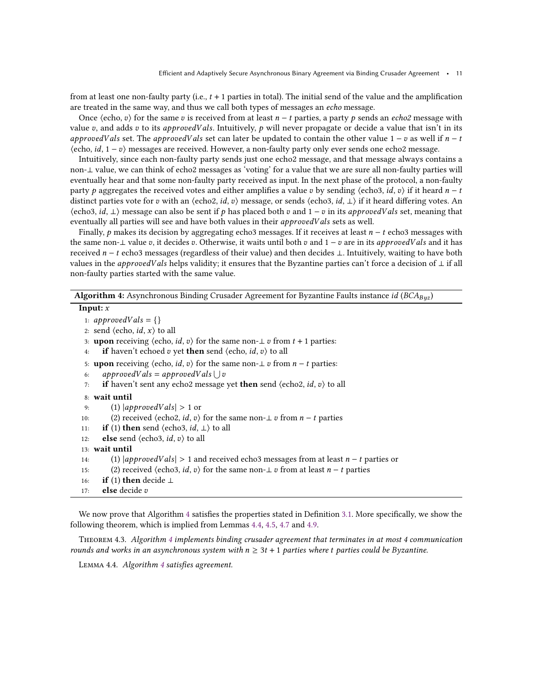from at least one non-faulty party (i.e.,  $t + 1$  parties in total). The initial send of the value and the amplification are treated in the same way, and thus we call both types of messages an echo message.

Once  $\langle$ echo, v $\rangle$  for the same v is received from at least  $n - t$  parties, a party p sends an echo2 message with value v, and adds v to its approved Vals. Intuitively, p will never propagate or decide a value that isn't in its approvedVals set. The approvedVals set can later be updated to contain the other value  $1 - v$  as well if  $n - t$  $\langle$ echo, *id*,  $1 - v$  messages are received. However, a non-faulty party only ever sends one echo2 message.

Intuitively, since each non-faulty party sends just one echo2 message, and that message always contains a non-⊥ value, we can think of echo2 messages as 'voting' for a value that we are sure all non-faulty parties will eventually hear and that some non-faulty party received as input. In the next phase of the protocol, a non-faulty party p aggregates the received votes and either amplifies a value v by sending  $\langle$ echo3, *id*, v $\rangle$  if it heard  $n - t$ distinct parties vote for v with an  $\langle$ echo2, *id*, v $\rangle$  message, or sends  $\langle$ echo3, *id*,  $\bot$  $\rangle$  if it heard differing votes. An  $\langle$ echo3, *id*,  $\perp$ *)* message can also be sent if p has placed both v and 1 – v in its *approvedVals* set, meaning that eventually all parties will see and have both values in their  $\hat{approvedV}$  als sets as well.

Finally,  $p$  makes its decision by aggregating echo3 messages. If it receives at least  $n - t$  echo3 messages with the same non-⊥ value v, it decides v. Otherwise, it waits until both v and  $1 - v$  are in its approvedVals and it has received  $n - t$  echo3 messages (regardless of their value) and then decides  $\perp$ . Intuitively, waiting to have both values in the approvedVals helps validity; it ensures that the Byzantine parties can't force a decision of  $\perp$  if all non-faulty parties started with the same value.

**Algorithm 4:** Asynchronous Binding Crusader Agreement for Byzantine Faults instance *id* ( $BCA_{Buz}$ )

### <span id="page-10-0"></span>Input:  $x$

```
1: approvedVals = \{\}
```

```
2: send \langleecho, id, x\rangle to all
```

```
3: upon receiving \langleecho, id, v\rangle for the same non-\perpv from t + 1 parties:
```

```
4: if haven't echoed v yet then send \langleecho, id, v\rangle to all
```
5: **upon** receiving  $\langle$ echo, *id*, *v* $\rangle$  for the same non- $\bot$  *v* from *n* – *t* parties:

```
6: approved Vals = approved Vals \bigcup v
```

```
7: if haven't sent any echo2 message yet then send \langleecho2, id, v\rangle to all
```
#### 8: wait until

```
9: (1) |approvedVals| > 1 or
```

```
10: (2) received \langleecho2, id, v) for the same non-\perp v from n – t parties
```
- 11: **if** (1) **then** send  $\langle$  echo3, *id*,  $\perp$  to all
- 12: **else** send  $\langle$ echo3, *id*, *v* $\rangle$  to all

```
13: wait until
```

```
14: (1) |approxedVals| > 1 and received echo3 messages from at least n - t parties or
```
15: (2) received  $\langle$ echo3, *id*, *v* $\rangle$  for the same non- $\bot$  *v* from at least *n* – *t* parties

```
16: if (1) then decide \perp
```

```
17: else decide v
```
We now prove that Algorithm [4](#page-10-0) satisfies the properties stated in Definition [3.1.](#page-5-0) More specifically, we show the following theorem, which is implied from Lemmas [4.4,](#page-10-1) [4.5,](#page-11-0) [4.7](#page-11-1) and [4.9.](#page-12-0)

Theorem 4.3. Algorithm [4](#page-10-0) implements binding crusader agreement that terminates in at most 4 communication rounds and works in an asynchronous system with  $n \geq 3t + 1$  parties where t parties could be Byzantine.

<span id="page-10-1"></span>Lemma 4.4. Algorithm [4](#page-10-0) satisfies agreement.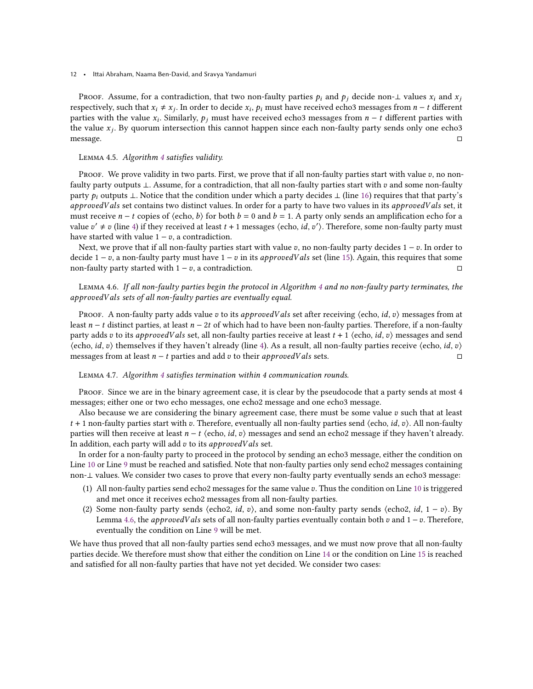Proof. Assume, for a contradiction, that two non-faulty parties  $p_i$  and  $p_j$  decide non-⊥ values  $x_i$  and  $x_j$ respectively, such that  $x_i \neq x_j$ . In order to decide  $x_i$ ,  $p_i$  must have received echo3 messages from  $n-t$  different parties with the value  $x_i$ . Similarly,  $p_i$  must have received echo3 messages from  $n - t$  different parties with the value  $x_i$ . By quorum intersection this cannot happen since each non-faulty party sends only one echo3 message. □

### <span id="page-11-0"></span>Lemma 4.5. Algorithm [4](#page-10-0) satisfies validity.

PROOF. We prove validity in two parts. First, we prove that if all non-faulty parties start with value  $v$ , no nonfaulty party outputs ⊥. Assume, for a contradiction, that all non-faulty parties start with  $v$  and some non-faulty party  $p_i$  outputs ⊥. Notice that the condition under which a party decides  $\perp$  (line [16\)](#page-10-0) requires that that party's approvedVals set contains two distinct values. In order for a party to have two values in its approvedVals set, it must receive  $n - t$  copies of  $\langle$ echo, b $\rangle$  for both  $b = 0$  and  $b = 1$ . A party only sends an amplification echo for a value  $v' \neq v$  (line [4\)](#page-10-0) if they received at least  $t + 1$  messages  $\langle$ echo, *id*,  $v'$ ). Therefore, some non-faulty party must have started with value  $1 - v$ , a contradiction.

Next, we prove that if all non-faulty parties start with value v, no non-faulty party decides  $1 - v$ . In order to decide 1 –  $v$ , a non-faulty party must have 1 –  $v$  in its *approvedVals* set (line [15\)](#page-10-0). Again, this requires that some non-faulty party started with  $1 - v$ , a contradiction.

<span id="page-11-2"></span>Lemma 4.6. If all non-faulty parties begin the protocol in Algorithm [4](#page-10-0) and no non-faulty party terminates, the approvedVals sets of all non-faulty parties are eventually equal.

PROOF. A non-faulty party adds value  $v$  to its *approvedVals* set after receiving  $\langle$ echo, *id*,  $v \rangle$  messages from at least  $n - t$  distinct parties, at least  $n - 2t$  of which had to have been non-faulty parties. Therefore, if a non-faulty party adds v to its approvedVals set, all non-faulty parties receive at least  $t + 1$  (echo, id, v) messages and send  $\langle$ echo, *id*,  $v\rangle$  themselves if they haven't already (line [4\)](#page-10-0). As a result, all non-faulty parties receive  $\langle$ echo, *id*,  $v\rangle$ messages from at least  $n - t$  parties and add  $v$  to their *approvedVals* sets. □

### <span id="page-11-1"></span>Lemma 4.7. Algorithm [4](#page-10-0) satisfies termination within 4 communication rounds.

Proof. Since we are in the binary agreement case, it is clear by the pseudocode that a party sends at most 4 messages; either one or two echo messages, one echo2 message and one echo3 message.

Also because we are considering the binary agreement case, there must be some value  $v$  such that at least  $t + 1$  non-faulty parties start with v. Therefore, eventually all non-faulty parties send  $\langle$ echo, *id*, v $\rangle$ . All non-faulty parties will then receive at least  $n - t$  (echo, id, v) messages and send an echo2 message if they haven't already. In addition, each party will add  $v$  to its  $\emph{approvedVals}$  set.

In order for a non-faulty party to proceed in the protocol by sending an echo3 message, either the condition on Line [10](#page-10-0) or Line [9](#page-10-0) must be reached and satisfied. Note that non-faulty parties only send echo2 messages containing non-⊥ values. We consider two cases to prove that every non-faulty party eventually sends an echo3 message:

- (1) All non-faulty parties send echo2 messages for the same value  $v$ . Thus the condition on Line [10](#page-10-0) is triggered and met once it receives echo2 messages from all non-faulty parties.
- (2) Some non-faulty party sends  $\langle$ echo2, *id*,  $v$ ), and some non-faulty party sends  $\langle$ echo2, *id*,  $1 v$ ). By Lemma [4.6,](#page-11-2) the *approvedVals* sets of all non-faulty parties eventually contain both v and  $1 - v$ . Therefore, eventually the condition on Line [9](#page-10-0) will be met.

We have thus proved that all non-faulty parties send echo3 messages, and we must now prove that all non-faulty parties decide. We therefore must show that either the condition on Line [14](#page-10-0) or the condition on Line [15](#page-10-0) is reached and satisfied for all non-faulty parties that have not yet decided. We consider two cases: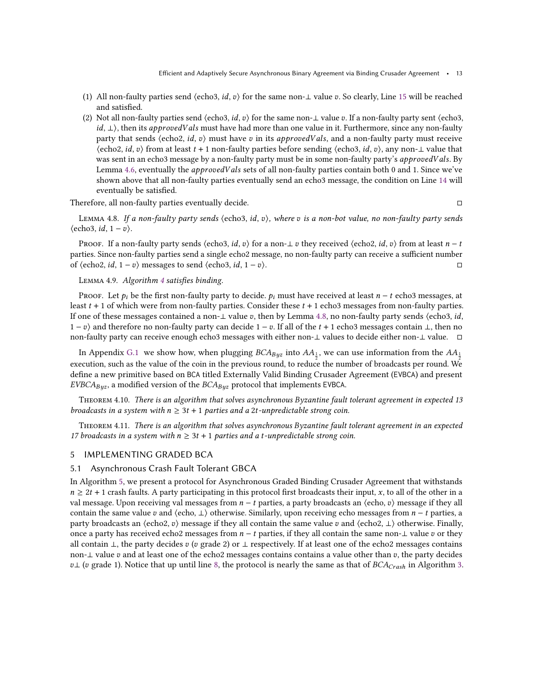- (1) All non-faulty parties send  $\langle$ echo3, *id*, *v*) for the same non-⊥ value *v*. So clearly, Line [15](#page-10-0) will be reached and satisfied.
- (2) Not all non-faulty parties send  $\langle$ echo3, *id*, *v*) for the same non-⊥ value *v*. If a non-faulty party sent  $\langle$ echo3,  $id, \perp$ ), then its *approvedVals* must have had more than one value in it. Furthermore, since any non-faulty party that sends  $\langle$ echo2, *id*, *v* $\rangle$  must have *v* in its *approvedVals*, and a non-faulty party must receive  $\langle$ echo2, *id*, *v* $\rangle$  from at least *t* + 1 non-faulty parties before sending  $\langle$ echo3, *id*, *v* $\rangle$ , any non- $\perp$  value that was sent in an echo3 message by a non-faulty party must be in some non-faulty party's *approvedVals*. By Lemma [4.6,](#page-11-2) eventually the *approvedVals* sets of all non-faulty parties contain both 0 and 1. Since we've shown above that all non-faulty parties eventually send an echo3 message, the condition on Line [14](#page-10-0) will eventually be satisfied.

Therefore, all non-faulty parties eventually decide. □

<span id="page-12-1"></span>LEMMA 4.8. If a non-faulty party sends  $\langle$ echo3, id, v), where v is a non-bot value, no non-faulty party sends  $\langle$ echo3, *id*,  $1 - v \rangle$ .

Proof. If a non-faulty party sends  $\langle$ echo3, *id*, *v* $\rangle$  for a non- $\perp v$  they received  $\langle$ echo2, *id*, *v* $\rangle$  from at least *n* – *t* parties. Since non-faulty parties send a single echo2 message, no non-faulty party can receive a sufficient number of  $\langle$ echo2, *id*,  $1 - v$  messages to send  $\langle$ echo3, *id*,  $1 - v$ . □

<span id="page-12-0"></span>Lemma 4.9. Algorithm [4](#page-10-0) satisfies binding.

Proof. Let  $p_i$  be the first non-faulty party to decide.  $p_i$  must have received at least  $n - t$  echo3 messages, at least  $t + 1$  of which were from non-faulty parties. Consider these  $t + 1$  echo3 messages from non-faulty parties. If one of these messages contained a non- $\perp$  value v, then by Lemma [4.8,](#page-12-1) no non-faulty party sends  $\langle$ echo3, *id*,  $1 - v$  and therefore no non-faulty party can decide  $1 - v$ . If all of the  $t + 1$  echo3 messages contain  $\perp$ , then no non-faulty party can receive enough echo3 messages with either non-⊥ values to decide either non-⊥ value. □

In Appendix [G.1](#page-28-0) we show how, when plugging  $BCA_{Byz}$  into  $AA_{\frac{1}{2}}$ , we can use information from the  $AA_{\frac{1}{2}}$ execution, such as the value of the coin in the previous round, to reduce the number of broadcasts per round. We define a new primitive based on BCA titled Externally Valid Binding Crusader Agreement (EVBCA) and present *EVBCA* $_{\text{Byz}}$ , a modified version of the  $BCA_{\text{Byz}}$  protocol that implements EVBCA.

Theorem 4.10. There is an algorithm that solves asynchronous Byzantine fault tolerant agreement in expected 13 broadcasts in a system with  $n \geq 3t + 1$  parties and a 2t-unpredictable strong coin.

Theorem 4.11. There is an algorithm that solves asynchronous Byzantine fault tolerant agreement in an expected 17 broadcasts in a system with  $n \geq 3t + 1$  parties and a t-unpredictable strong coin.

### 5 IMPLEMENTING GRADED BCA

### 5.1 Asynchronous Crash Fault Tolerant GBCA

In Algorithm [5,](#page-13-0) we present a protocol for Asynchronous Graded Binding Crusader Agreement that withstands  $n \geq 2t + 1$  crash faults. A party participating in this protocol first broadcasts their input, x, to all of the other in a val message. Upon receiving val messages from  $n - t$  parties, a party broadcasts an  $\langle$ echo,  $v \rangle$  message if they all contain the same value v and  $\langle$ echo,  $\perp$  otherwise. Similarly, upon receiving echo messages from  $n - t$  parties, a party broadcasts an  $\langle$ echo2,  $v \rangle$  message if they all contain the same value  $v$  and  $\langle$ echo2,  $\bot \rangle$  otherwise. Finally, once a party has received echo2 messages from  $n - t$  parties, if they all contain the same non-⊥ value v or they all contain  $\perp$ , the party decides  $v$  ( $v$  grade 2) or  $\perp$  respectively. If at least one of the echo2 messages contains non-⊥ value  $v$  and at least one of the echo2 messages contains contains a value other than  $v$ , the party decides  $v\perp$  (v grade 1). Notice that up until line [8,](#page-13-0) the protocol is nearly the same as that of  $BCA_{Crash}$  in Algorithm [3.](#page-9-0)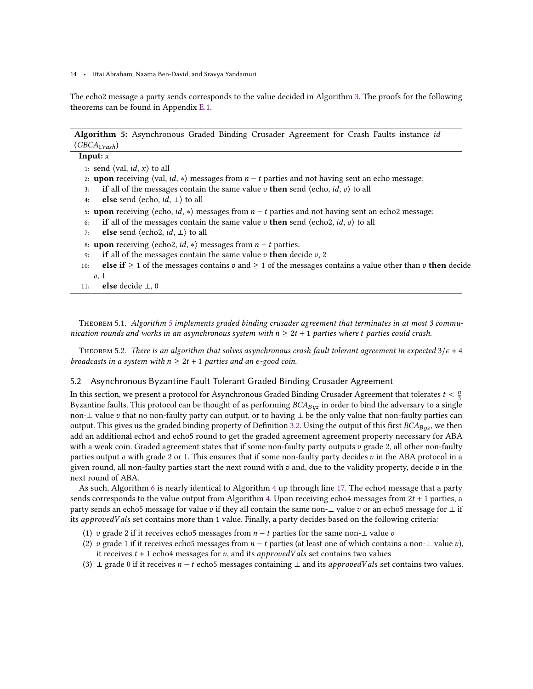The echo2 message a party sends corresponds to the value decided in Algorithm [3.](#page-9-0) The proofs for the following theorems can be found in Appendix [E.1.](#page-21-0)

|                  | Algorithm 5: Asynchronous Graded Binding Crusader Agreement for Crash Faults instance id |  |  |  |  |  |
|------------------|------------------------------------------------------------------------------------------|--|--|--|--|--|
| $(GBCA_{Crash})$ |                                                                                          |  |  |  |  |  |

<span id="page-13-0"></span>

|     | Input: $x$                                                                                                                          |
|-----|-------------------------------------------------------------------------------------------------------------------------------------|
|     | 1: send $\langle$ val, <i>id</i> , <i>x</i> $\rangle$ to all                                                                        |
|     | 2: <b>upon</b> receiving $\langle \text{val}, id, * \rangle$ messages from $n - t$ parties and not having sent an echo message:     |
| 3:  | <b>if</b> all of the messages contain the same value v <b>then</b> send $\langle$ echo, <i>id</i> , <i>v</i> $\rangle$ to all       |
| 4:  | <b>else</b> send (echo, <i>id</i> , $\perp$ ) to all                                                                                |
|     | 5: <b>upon</b> receiving $\langle$ echo, <i>id</i> , $*\rangle$ messages from $n - t$ parties and not having sent an echo2 message: |
| 6:  | <b>if</b> all of the messages contain the same value v <b>then</b> send $\langle$ echo2, <i>id</i> , <i>v</i> $\rangle$ to all      |
| 7:  | <b>else</b> send (echo2, <i>id</i> , $\perp$ ) to all                                                                               |
|     | 8: <b>upon</b> receiving $\langle$ echo2, <i>id</i> , $*\rangle$ messages from $n - t$ parties:                                     |
| 9:  | if all of the messages contain the same value $v$ then decide $v$ , 2                                                               |
| 10: | <b>else if</b> $\geq 1$ of the messages contains v and $\geq 1$ of the messages contains a value other than v <b>then</b> decide    |
|     | v, 1                                                                                                                                |
| 11: | <b>else</b> decide $\perp$ , 0                                                                                                      |

<span id="page-13-4"></span>THEOREM [5](#page-13-0).1. Algorithm 5 implements graded binding crusader agreement that terminates in at most 3 communication rounds and works in an asynchronous system with  $n \geq 2t + 1$  parties where t parties could crash.

<span id="page-13-5"></span>THEOREM 5.2. There is an algorithm that solves asynchronous crash fault tolerant agreement in expected  $3/\epsilon + 4$ broadcasts in a system with  $n \geq 2t + 1$  parties and an  $\epsilon$ -good coin.

### 5.2 Asynchronous Byzantine Fault Tolerant Graded Binding Crusader Agreement

In this section, we present a protocol for Asynchronous Graded Binding Crusader Agreement that tolerates  $t < \frac{n}{3}$ Byzantine faults. This protocol can be thought of as performing  $BCA_{Byz}$  in order to bind the adversary to a single non-⊥ value v that no non-faulty party can output, or to having ⊥ be the only value that non-faulty parties can output. This gives us the graded binding property of Definition [3.2.](#page-5-1) Using the output of this first  $BCA_{Byz}$ , we then add an additional echo4 and echo5 round to get the graded agreement agreement property necessary for ABA with a weak coin. Graded agreement states that if some non-faulty party outputs  $v$  grade 2, all other non-faulty parties output  $v$  with grade 2 or 1. This ensures that if some non-faulty party decides  $v$  in the ABA protocol in a given round, all non-faulty parties start the next round with  $v$  and, due to the validity property, decide  $v$  in the next round of ABA.

As such, Algorithm [6](#page-14-0) is nearly identical to Algorithm [4](#page-10-0) up through line [17.](#page-14-0) The echo4 message that a party sends corresponds to the value output from Algorithm [4.](#page-10-0) Upon receiving echo4 messages from  $2t + 1$  parties, a party sends an echo5 message for value  $v$  if they all contain the same non- $\perp$  value  $v$  or an echo5 message for  $\perp$  if its approvedVals set contains more than 1 value. Finally, a party decides based on the following criteria:

- <span id="page-13-1"></span>(1) v grade 2 if it receives echo5 messages from  $n - t$  parties for the same non- $\perp$  value v
- <span id="page-13-3"></span>(2) v grade 1 if it receives echo5 messages from  $n - t$  parties (at least one of which contains a non-⊥ value v), it receives  $t + 1$  echo4 messages for  $v$ , and its *approvedVals* set contains two values
- <span id="page-13-2"></span>(3)  $\perp$  grade 0 if it receives  $n - t$  echo5 messages containing  $\perp$  and its *approvedVals* set contains two values.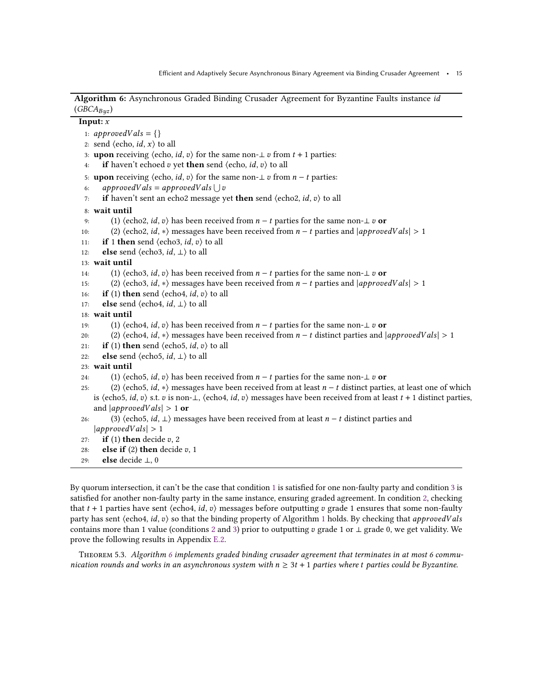### Algorithm 6: Asynchronous Graded Binding Crusader Agreement for Byzantine Faults instance id  $(GBCA_{Buz})$

```
Input: \overline{x}1: approvedVals = \{\}2: send \langleecho, id, x\rangle to all
 3: upon receiving \langleecho, id, v\rangle for the same non-\bot v from t + 1 parties:
 4: if haven't echoed v yet then send \langleecho, id, v\rangle to all
 5: upon receiving \langleecho, id, v\rangle for the same non-\bot v from n - t parties:
  6: approvedVals = approvedVals \cup v7: if haven't sent an echo2 message yet then send \langleecho2, id, v\rangle to all
 8: wait until
 9: (1) \langleecho2, id, v\rangle has been received from n – t parties for the same non-\perp v or
 10: (2) \langleecho2, id, *) messages have been received from n - t parties and |approvedVals| > 111: if 1 then send \langleecho3, id, v\rangle to all
 12: else send \langleecho3, id, \perp\rangle to all
13: wait until
14: (1) \langle \text{echo3}, \text{id}, v \rangle has been received from n - t parties for the same non-\perp v or
15: (2) \langleecho3, id, *) messages have been received from n - t parties and |approvedVals| > 116: if (1) then send \langle echo4, id, v\rangle to all
17: else send \langleecho4, id, \perp\rangle to all
 18: wait until
19: (1) \langle \text{echo4}, \text{id}, v \rangle has been received from n - t parties for the same non-\perp v or
20: (2) \langleecho4, id, *) messages have been received from n - t distinct parties and |approxV| \ge 121: if (1) then send \langle echo<sup>5</sup>, id, v\rangle to all
22: else send \langleecho5, id, \perp\rangle to all
23: wait until
24: (1) \langleecho5, id, v\rangle has been received from n − t parties for the same non-\perp v or
25: (2) \langleecho5, id, *) messages have been received from at least n - t distinct parties, at least one of which
    is \langleecho5, id, v\rangle s.t. v is non-\bot, \langleecho4, id, v\rangle messages have been received from at least t + 1 distinct parties,
    and |approvedVals| > 1 or
26: (3) \langleecho5, id, \perp) messages have been received from at least n - t distinct parties and
    |approvedVals| > 127: if (1) then decide v, 2
28: else if (2) then decide v, 1
29: else decide ⊥, 0
```
By quorum intersection, it can't be the case that condition [1](#page-13-1) is satisfied for one non-faulty party and condition [3](#page-13-2) is satisfied for another non-faulty party in the same instance, ensuring graded agreement. In condition [2,](#page-13-3) checking that  $t + 1$  parties have sent  $\langle$ echo4, *id*,  $v$ ) messages before outputting  $v$  grade 1 ensures that some non-faulty party has sent  $\langle$ echo4, *id, v* $\rangle$  so that the binding property of Algorithm [1](#page-6-0) holds. By checking that *approvedVals* contains more than 1 value (conditions [2](#page-13-3) and [3\)](#page-13-2) prior to outputting v grade 1 or  $\perp$  grade 0, we get validity. We prove the following results in Appendix [E.2.](#page-22-0)

<span id="page-14-1"></span>THEOREM 5.3. Algorithm [6](#page-14-0) implements graded binding crusader agreement that terminates in at most 6 communication rounds and works in an asynchronous system with  $n \geq 3t + 1$  parties where t parties could be Byzantine.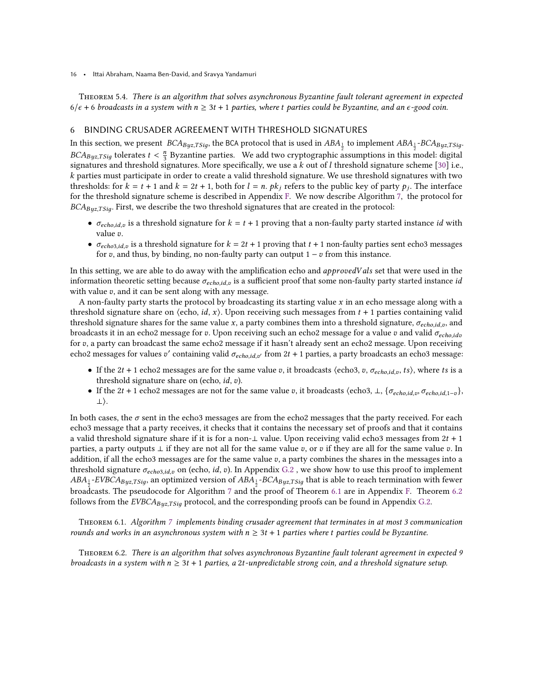<span id="page-15-2"></span>Theorem 5.4. There is an algorithm that solves asynchronous Byzantine fault tolerant agreement in expected  $6/\epsilon$  + 6 broadcasts in a system with  $n \geq 3t + 1$  parties, where t parties could be Byzantine, and an  $\epsilon$ -good coin.

### <span id="page-15-3"></span>6 BINDING CRUSADER AGREEMENT WITH THRESHOLD SIGNATURES

In this section, we present  $BCA_{Byz,TSig}$ , the BCA protocol that is used in  $ABA_{\frac{1}{2}}$  to implement  $ABA_{\frac{1}{2}}$ -BC $A_{Byz,TSig}$ .  $BCA_{Byz,TSig}$  tolerates  $t < \frac{n}{3}$  Byzantine parties. We add two cryptographic assumptions in this model: digital signatures and threshold signatures. More specifically, we use a  $k$  out of  $l$  threshold signature scheme [\[30\]](#page-17-1) i.e., parties must participate in order to create a valid threshold signature. We use threshold signatures with two thresholds: for  $k = t + 1$  and  $k = 2t + 1$ , both for  $l = n$ .  $pk_j$  refers to the public key of party  $p_j$ . The interface for the threshold signature scheme is described in Appendix [F.](#page-23-0) We now describe Algorithm [7,](#page-24-0) the protocol for  $BCA_{Buz,TSia}$ . First, we describe the two threshold signatures that are created in the protocol:

- $\sigma_{echo, id, v}$  is a threshold signature for  $k = t + 1$  proving that a non-faulty party started instance *id* with value *v*.
- $\sigma_{echo3, id, v}$  is a threshold signature for  $k = 2t + 1$  proving that  $t + 1$  non-faulty parties sent echo3 messages for v, and thus, by binding, no non-faulty party can output  $1 - v$  from this instance.

In this setting, we are able to do away with the amplification echo and  $approvedVals$  set that were used in the information theoretic setting because  $\sigma_{echo, id, v}$  is a sufficient proof that some non-faulty party started instance id with value  $v$ , and it can be sent along with any message.

A non-faulty party starts the protocol by broadcasting its starting value  $x$  in an echo message along with a threshold signature share on  $\langle$ echo, *id*, *x* $\rangle$ . Upon receiving such messages from *t* + 1 parties containing valid threshold signature shares for the same value x, a party combines them into a threshold signature,  $\sigma_{echo, id, v}$ , and broadcasts it in an echo2 message for v. Upon receiving such an echo2 message for a value v and valid  $\sigma_{echo, idv}$ for v, a party can broadcast the same echo2 message if it hasn't already sent an echo2 message. Upon receiving echo2 messages for values v' containing valid  $\sigma_{echo_id,v'}$  from 2t + 1 parties, a party broadcasts an echo3 message:

- If the 2t + 1 echo2 messages are for the same value v, it broadcasts  $\langle$ echo3, v,  $\sigma_{echo, id, v}$ , ts $\rangle$ , where ts is a threshold signature share on (echo,  $id$ ,  $v$ ).
- If the 2t + 1 echo2 messages are not for the same value v, it broadcasts  $\langle$ echo3,  $\perp$ ,  $\{\sigma_{echoid, v}, \sigma_{echo,id, 1-v}\}$ , ⊥⟩.

In both cases, the  $\sigma$  sent in the echo3 messages are from the echo2 messages that the party received. For each echo3 message that a party receives, it checks that it contains the necessary set of proofs and that it contains a valid threshold signature share if it is for a non-⊥ value. Upon receiving valid echo3 messages from  $2t + 1$ parties, a party outputs  $\perp$  if they are not all for the same value v, or v if they are all for the same value v. In addition, if all the echo3 messages are for the same value  $v$ , a party combines the shares in the messages into a threshold signature  $\sigma_{echo3, id, v}$  on (echo, *id, v*). In Appendix [G.2](#page-30-0), we show how to use this proof to implement  $ABA_{\frac{1}{2}}$ -EVBC $A_{Byz,TSig}$ , an optimized version of  $ABA_{\frac{1}{2}}$ -BC $A_{Byz,TSig}$  that is able to reach termination with fewer broadcasts. The pseudocode for Algorithm [7](#page-24-0) and the proof of Theorem [6.1](#page-15-0) are in Appendix [F.](#page-23-0) Theorem [6.2](#page-15-1) follows from the  $EVBCA_{Byz,TSig}$  protocol, and the corresponding proofs can be found in Appendix [G.2.](#page-30-0)

<span id="page-15-0"></span>Theorem 6.1. Algorithm [7](#page-24-0) implements binding crusader agreement that terminates in at most 3 communication rounds and works in an asynchronous system with  $n \geq 3t + 1$  parties where t parties could be Byzantine.

<span id="page-15-1"></span>Theorem 6.2. There is an algorithm that solves asynchronous Byzantine fault tolerant agreement in expected 9 broadcasts in a system with  $n \geq 3t + 1$  parties, a 2t-unpredictable strong coin, and a threshold signature setup.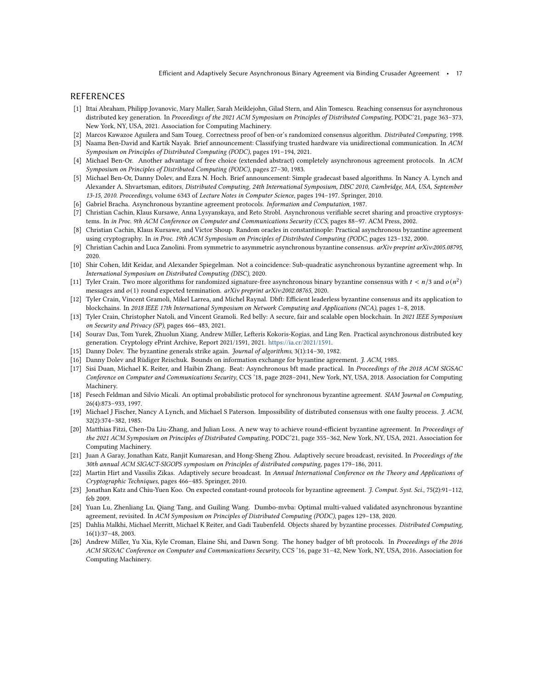### REFERENCES

- <span id="page-16-4"></span>[1] Ittai Abraham, Philipp Jovanovic, Mary Maller, Sarah Meiklejohn, Gilad Stern, and Alin Tomescu. Reaching consensus for asynchronous distributed key generation. In Proceedings of the 2021 ACM Symposium on Principles of Distributed Computing, PODC'21, page 363-373, New York, NY, USA, 2021. Association for Computing Machinery.
- <span id="page-16-13"></span>[2] Marcos Kawazoe Aguilera and Sam Toueg. Correctness proof of ben-or's randomized consensus algorithm. Distributed Computing, 1998.
- <span id="page-16-24"></span>[3] Naama Ben-David and Kartik Nayak. Brief announcement: Classifying trusted hardware via unidirectional communication. In ACM Symposium on Principles of Distributed Computing (PODC), pages 191–194, 2021.
- <span id="page-16-1"></span>[4] Michael Ben-Or. Another advantage of free choice (extended abstract) completely asynchronous agreement protocols. In ACM Symposium on Principles of Distributed Computing (PODC), pages 27–30, 1983.
- <span id="page-16-10"></span>[5] Michael Ben-Or, Danny Dolev, and Ezra N. Hoch. Brief announcement: Simple gradecast based algorithms. In Nancy A. Lynch and Alexander A. Shvartsman, editors, Distributed Computing, 24th International Symposium, DISC 2010, Cambridge, MA, USA, September 13-15, 2010. Proceedings, volume 6343 of Lecture Notes in Computer Science, pages 194–197. Springer, 2010.
- <span id="page-16-21"></span>[6] Gabriel Bracha. Asynchronous byzantine agreement protocols. Information and Computation, 1987.
- <span id="page-16-5"></span>[7] Christian Cachin, Klaus Kursawe, Anna Lysyanskaya, and Reto Strobl. Asynchronous verifiable secret sharing and proactive cryptosystems. In in Proc. 9th ACM Conference on Computer and Communications Security (CCS, pages 88–97. ACM Press, 2002.
- <span id="page-16-8"></span>[8] Christian Cachin, Klaus Kursawe, and Victor Shoup. Random oracles in constantinople: Practical asynchronous byzantine agreement using cryptography. In in Proc. 19th ACM Symposium on Principles of Distributed Computing (PODC, pages 123–132, 2000.
- <span id="page-16-14"></span>[9] Christian Cachin and Luca Zanolini. From symmetric to asymmetric asynchronous byzantine consensus. arXiv preprint arXiv:2005.08795, 2020.
- <span id="page-16-6"></span>[10] Shir Cohen, Idit Keidar, and Alexander Spiegelman. Not a coincidence: Sub-quadratic asynchronous byzantine agreement whp. In International Symposium on Distributed Computing (DISC), 2020.
- <span id="page-16-15"></span>[11] Tyler Crain. Two more algorithms for randomized signature-free asynchronous binary byzantine consensus with  $t < n/3$  and  $o(n^2)$ messages and  $o(1)$  round expected termination. *arXiv preprint arXiv:2002.08765*, 2020.
- <span id="page-16-19"></span>[12] Tyler Crain, Vincent Gramoli, Mikel Larrea, and Michel Raynal. Dbft: Efficient leaderless byzantine consensus and its application to blockchains. In 2018 IEEE 17th International Symposium on Network Computing and Applications (NCA), pages 1–8, 2018.
- <span id="page-16-20"></span>[13] Tyler Crain, Christopher Natoli, and Vincent Gramoli. Red belly: A secure, fair and scalable open blockchain. In 2021 IEEE Symposium on Security and Privacy (SP), pages 466–483, 2021.
- <span id="page-16-23"></span>[14] Sourav Das, Tom Yurek, Zhuolun Xiang, Andrew Miller, Lefteris Kokoris-Kogias, and Ling Ren. Practical asynchronous distributed key generation. Cryptology ePrint Archive, Report 2021/1591, 2021. [https://ia.cr/2021/1591.](https://ia.cr/2021/1591)
- <span id="page-16-9"></span>[15] Danny Dolev. The byzantine generals strike again. Journal of algorithms, 3(1):14–30, 1982.
- <span id="page-16-22"></span>[16] Danny Dolev and Rüdiger Reischuk. Bounds on information exchange for byzantine agreement. J. ACM, 1985.
- <span id="page-16-17"></span>[17] Sisi Duan, Michael K. Reiter, and Haibin Zhang. Beat: Asynchronous bft made practical. In Proceedings of the 2018 ACM SIGSAC Conference on Computer and Communications Security, CCS '18, page 2028–2041, New York, NY, USA, 2018. Association for Computing Machinery.
- <span id="page-16-7"></span>[18] Pesech Feldman and Silvio Micali. An optimal probabilistic protocol for synchronous byzantine agreement. SIAM Journal on Computing, 26(4):873–933, 1997.
- <span id="page-16-0"></span>[19] Michael J Fischer, Nancy A Lynch, and Michael S Paterson. Impossibility of distributed consensus with one faulty process. J. ACM, 32(2):374–382, 1985.
- <span id="page-16-11"></span>[20] Matthias Fitzi, Chen-Da Liu-Zhang, and Julian Loss. A new way to achieve round-efficient byzantine agreement. In Proceedings of the 2021 ACM Symposium on Principles of Distributed Computing, PODC'21, page 355–362, New York, NY, USA, 2021. Association for Computing Machinery.
- <span id="page-16-2"></span>[21] Juan A Garay, Jonathan Katz, Ranjit Kumaresan, and Hong-Sheng Zhou. Adaptively secure broadcast, revisited. In Proceedings of the 30th annual ACM SIGACT-SIGOPS symposium on Principles of distributed computing, pages 179–186, 2011.
- <span id="page-16-3"></span>[22] Martin Hirt and Vassilis Zikas. Adaptively secure broadcast. In Annual International Conference on the Theory and Applications of Cryptographic Techniques, pages 466–485. Springer, 2010.
- <span id="page-16-12"></span>[23] Jonathan Katz and Chiu-Yuen Koo. On expected constant-round protocols for byzantine agreement. J. Comput. Syst. Sci., 75(2):91–112, feb 2009.
- <span id="page-16-18"></span>[24] Yuan Lu, Zhenliang Lu, Qiang Tang, and Guiling Wang. Dumbo-mvba: Optimal multi-valued validated asynchronous byzantine agreement, revisited. In ACM Symposium on Principles of Distributed Computing (PODC), pages 129–138, 2020.
- <span id="page-16-25"></span>[25] Dahlia Malkhi, Michael Merritt, Michael K Reiter, and Gadi Taubenfeld. Objects shared by byzantine processes. Distributed Computing, 16(1):37–48, 2003.
- <span id="page-16-16"></span>[26] Andrew Miller, Yu Xia, Kyle Croman, Elaine Shi, and Dawn Song. The honey badger of bft protocols. In Proceedings of the 2016 ACM SIGSAC Conference on Computer and Communications Security, CCS '16, page 31–42, New York, NY, USA, 2016. Association for Computing Machinery.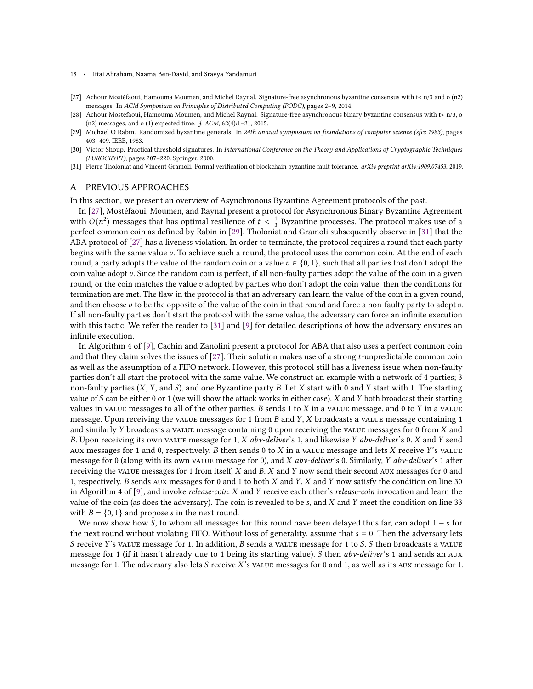- <span id="page-17-3"></span>[27] Achour Mostéfaoui, Hamouma Moumen, and Michel Raynal. Signature-free asynchronous byzantine consensus with t< n/3 and o (n2) messages. In ACM Symposium on Principles of Distributed Computing (PODC), pages 2–9, 2014.
- <span id="page-17-2"></span>[28] Achour Mostéfaoui, Hamouma Moumen, and Michel Raynal. Signature-free asynchronous binary byzantine consensus with t< n/3, o (n2) messages, and o (1) expected time. J. ACM, 62(4):1–21, 2015.
- <span id="page-17-0"></span>[29] Michael O Rabin. Randomized byzantine generals. In 24th annual symposium on foundations of computer science (sfcs 1983), pages 403–409. IEEE, 1983.
- <span id="page-17-1"></span>[30] Victor Shoup. Practical threshold signatures. In International Conference on the Theory and Applications of Cryptographic Techniques (EUROCRYPT), pages 207–220. Springer, 2000.
- <span id="page-17-5"></span>[31] Pierre Tholoniat and Vincent Gramoli. Formal verification of blockchain byzantine fault tolerance. arXiv preprint arXiv:1909.07453, 2019.

#### <span id="page-17-4"></span>A PREVIOUS APPROACHES

In this section, we present an overview of Asynchronous Byzantine Agreement protocols of the past.

In [\[27\]](#page-17-3), Mostéfaoui, Moumen, and Raynal present a protocol for Asynchronous Binary Byzantine Agreement with  $O(n^2)$  messages that has optimal resilience of  $t < \frac{1}{3}$  Byzantine processes. The protocol makes use of a perfect common coin as defined by Rabin in [\[29\]](#page-17-0). Tholoniat and Gramoli subsequently observe in [\[31\]](#page-17-5) that the ABA protocol of [\[27\]](#page-17-3) has a liveness violation. In order to terminate, the protocol requires a round that each party begins with the same value v. To achieve such a round, the protocol uses the common coin. At the end of each round, a party adopts the value of the random coin or a value  $v \in \{0, 1\}$ , such that all parties that don't adopt the coin value adopt v. Since the random coin is perfect, if all non-faulty parties adopt the value of the coin in a given round, or the coin matches the value  $v$  adopted by parties who don't adopt the coin value, then the conditions for termination are met. The flaw in the protocol is that an adversary can learn the value of the coin in a given round, and then choose  $v$  to be the opposite of the value of the coin in that round and force a non-faulty party to adopt  $v$ . If all non-faulty parties don't start the protocol with the same value, the adversary can force an infinite execution with this tactic. We refer the reader to [\[31\]](#page-17-5) and [\[9\]](#page-16-14) for detailed descriptions of how the adversary ensures an infinite execution.

In Algorithm 4 of [\[9\]](#page-16-14), Cachin and Zanolini present a protocol for ABA that also uses a perfect common coin and that they claim solves the issues of  $[27]$ . Their solution makes use of a strong t-unpredictable common coin as well as the assumption of a FIFO network. However, this protocol still has a liveness issue when non-faulty parties don't all start the protocol with the same value. We construct an example with a network of 4 parties; 3 non-faulty parties  $(X, Y,$  and S), and one Byzantine party B. Let  $X$  start with 0 and  $Y$  start with 1. The starting value of  $S$  can be either 0 or 1 (we will show the attack works in either case).  $X$  and  $Y$  both broadcast their starting values in value messages to all of the other parties. B sends 1 to  $X$  in a value message, and 0 to  $Y$  in a value message. Upon receiving the value messages for 1 from  $B$  and  $Y$ ,  $X$  broadcasts a value message containing 1 and similarly Y broadcasts a value message containing 0 upon receiving the value messages for 0 from  $X$  and B. Upon receiving its own value message for  $1, X$  abv-deliver's 1, and likewise Y abv-deliver's 0.  $X$  and  $Y$  send AUX messages for 1 and 0, respectively. B then sends 0 to  $X$  in a value message and lets  $X$  receive  $Y$ 's value message for 0 (along with its own value message for 0), and  $X$  abv-deliver's 0. Similarly,  $Y$  abv-deliver's 1 after receiving the value messages for 1 from itself,  $X$  and  $B$ .  $X$  and  $Y$  now send their second aux messages for 0 and 1, respectively. *B* sends  $AUX$  messages for 0 and 1 to both  $X$  and  $Y$ .  $X$  and  $Y$  now satisfy the condition on line 30 in Algorithm 4 of  $[9]$ , and invoke *release-coin*.  $X$  and  $Y$  receive each other's *release-coin* invocation and learn the value of the coin (as does the adversary). The coin is revealed to be  $s$ , and  $X$  and  $Y$  meet the condition on line 33 with  $B = \{0, 1\}$  and propose *s* in the next round.

We now show how S, to whom all messages for this round have been delayed thus far, can adopt  $1 - s$  for the next round without violating FIFO. Without loss of generality, assume that  $s = 0$ . Then the adversary lets S receive Y's value message for 1. In addition, B sends a value message for 1 to S. S then broadcasts a value message for 1 (if it hasn't already due to 1 being its starting value). *S* then *abv-deliver's* 1 and sends an AUX message for 1. The adversary also lets  $S$  receive  $X$ 's value messages for 0 and 1, as well as its aux message for 1.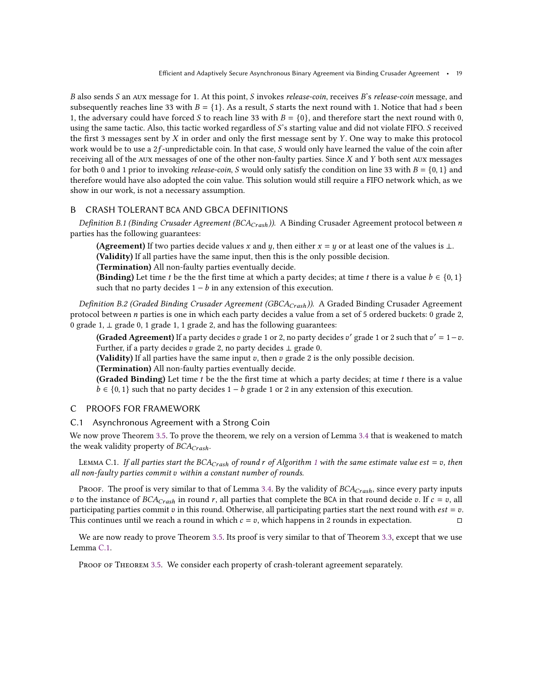B also sends S an AUX message for 1. At this point, S invokes release-coin, receives B's release-coin message, and subsequently reaches line 33 with  $B = \{1\}$ . As a result, S starts the next round with 1. Notice that had s been 1, the adversary could have forced *S* to reach line 33 with  $B = \{0\}$ , and therefore start the next round with 0, using the same tactic. Also, this tactic worked regardless of  $S$ 's starting value and did not violate FIFO.  $S$  received the first 3 messages sent by  $X$  in order and only the first message sent by  $Y$ . One way to make this protocol work would be to use a  $2f$ -unpredictable coin. In that case,  $S$  would only have learned the value of the coin after receiving all of the AUX messages of one of the other non-faulty parties. Since  $X$  and  $Y$  both sent AUX messages for both 0 and 1 prior to invoking release-coin, S would only satisfy the condition on line 33 with  $B = \{0, 1\}$  and therefore would have also adopted the coin value. This solution would still require a FIFO network which, as we show in our work, is not a necessary assumption.

### <span id="page-18-0"></span>B CRASH TOLERANT BCA AND GBCA DEFINITIONS

Definition B.1 (Binding Crusader Agreement (BCA<sub>Crash</sub>)). A Binding Crusader Agreement protocol between n parties has the following guarantees:

(Agreement) If two parties decide values x and y, then either  $x = y$  or at least one of the values is ⊥. (Validity) If all parties have the same input, then this is the only possible decision.

(Termination) All non-faulty parties eventually decide.

**(Binding)** Let time *t* be the the first time at which a party decides; at time *t* there is a value  $b \in \{0, 1\}$ such that no party decides  $1 - b$  in any extension of this execution.

Definition B.2 (Graded Binding Crusader Agreement (GBCA<sub>Crash</sub>)). A Graded Binding Crusader Agreement protocol between  $n$  parties is one in which each party decides a value from a set of 5 ordered buckets: 0 grade 2, 0 grade 1, ⊥ grade 0, 1 grade 1, 1 grade 2, and has the following guarantees:

(Graded Agreement) If a party decides v grade 1 or 2, no party decides v' grade 1 or 2 such that  $v' = 1 - v$ . Further, if a party decides  $v$  grade 2, no party decides  $\perp$  grade 0.

(Validity) If all parties have the same input v, then v grade 2 is the only possible decision.

(Termination) All non-faulty parties eventually decide.

(Graded Binding) Let time  $t$  be the the first time at which a party decides; at time  $t$  there is a value  $b \in \{0, 1\}$  such that no party decides  $1 - b$  grade 1 or 2 in any extension of this execution.

## C PROOFS FOR FRAMEWORK

### <span id="page-18-1"></span>C.1 Asynchronous Agreement with a Strong Coin

We now prove Theorem [3.5.](#page-8-0) To prove the theorem, we rely on a version of Lemma [3.4](#page-7-1) that is weakened to match the weak validity property of  $BCA_{Crash}$ .

<span id="page-18-2"></span>LEMMA C.[1](#page-6-0). If all parties start the BCA<sub>Crash</sub> of round r of Algorithm 1 with the same estimate value est =  $v$ , then all non-faulty parties commit v within a constant number of rounds.

PROOF. The proof is very similar to that of Lemma [3.4.](#page-7-1) By the validity of  $BCA_{Crash}$ , since every party inputs v to the instance of  $BCA_{Crash}$  in round r, all parties that complete the BCA in that round decide v. If  $c = v$ , all participating parties commit  $v$  in this round. Otherwise, all participating parties start the next round with  $est = v$ . This continues until we reach a round in which  $c = v$ , which happens in 2 rounds in expectation.  $\square$ 

We are now ready to prove Theorem [3.5.](#page-8-0) Its proof is very similar to that of Theorem [3.3,](#page-7-0) except that we use Lemma [C.1.](#page-18-2)

PROOF OF THEOREM [3.5.](#page-8-0) We consider each property of crash-tolerant agreement separately.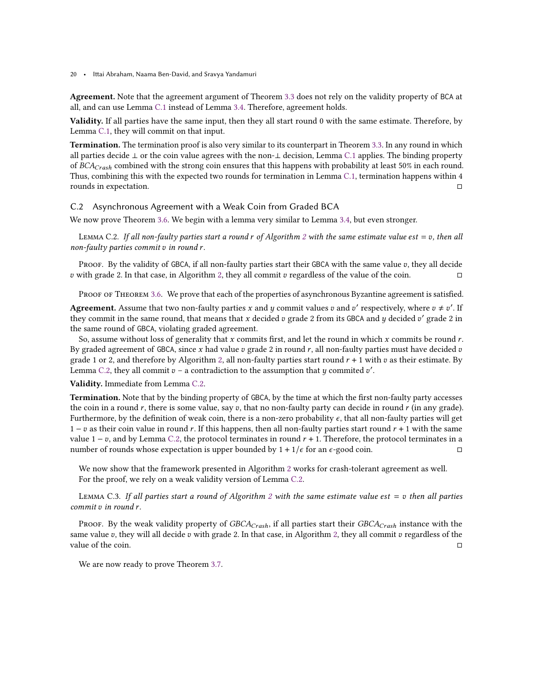Agreement. Note that the agreement argument of Theorem [3.3](#page-7-0) does not rely on the validity property of BCA at all, and can use Lemma [C.1](#page-18-2) instead of Lemma [3.4.](#page-7-1) Therefore, agreement holds.

Validity. If all parties have the same input, then they all start round 0 with the same estimate. Therefore, by Lemma [C.1,](#page-18-2) they will commit on that input.

Termination. The termination proof is also very similar to its counterpart in Theorem [3.3.](#page-7-0) In any round in which all parties decide ⊥ or the coin value agrees with the non-⊥ decision, Lemma [C.1](#page-18-2) applies. The binding property of BCA<sub>Crash</sub> combined with the strong coin ensures that this happens with probability at least 50% in each round. Thus, combining this with the expected two rounds for termination in Lemma [C.1,](#page-18-2) termination happens within 4 rounds in expectation. □

#### <span id="page-19-0"></span>C.2 Asynchronous Agreement with a Weak Coin from Graded BCA

We now prove Theorem [3.6.](#page-9-2) We begin with a lemma very similar to Lemma [3.4,](#page-7-1) but even stronger.

<span id="page-19-1"></span>LEMMA C.[2](#page-8-1). If all non-faulty parties start a round r of Algorithm 2 with the same estimate value est =  $v$ , then all non-faulty parties commit  $v$  in round  $r$ .

PROOF. By the validity of GBCA, if all non-faulty parties start their GBCA with the same value  $v$ , they all decide  $v$  with grade 2. In that case, in Algorithm [2,](#page-8-1) they all commit  $v$  regardless of the value of the coin.

PROOF OF THEOREM [3.6.](#page-9-2) We prove that each of the properties of asynchronous Byzantine agreement is satisfied.

Agreement. Assume that two non-faulty parties x and y commit values v and v' respectively, where  $v \neq v'$ . If they commit in the same round, that means that x decided  $v$  grade 2 from its GBCA and  $y$  decided  $v'$  grade 2 in the same round of GBCA, violating graded agreement.

So, assume without loss of generality that  $x$  commits first, and let the round in which  $x$  commits be round  $r$ . By graded agreement of GBCA, since x had value  $v$  grade 2 in round  $r$ , all non-faulty parties must have decided  $v$ grade 1 or [2,](#page-8-1) and therefore by Algorithm 2, all non-faulty parties start round  $r + 1$  with v as their estimate. By Lemma [C.2,](#page-19-1) they all commit  $v - a$  contradiction to the assumption that  $u$  commited  $v'$ .

#### Validity. Immediate from Lemma [C.2.](#page-19-1)

Termination. Note that by the binding property of GBCA, by the time at which the first non-faulty party accesses the coin in a round r, there is some value, say v, that no non-faulty party can decide in round r (in any grade). Furthermore, by the definition of weak coin, there is a non-zero probability  $\epsilon$ , that all non-faulty parties will get  $1 - v$  as their coin value in round r. If this happens, then all non-faulty parties start round  $r + 1$  with the same value  $1 - v$ , and by Lemma [C.2,](#page-19-1) the protocol terminates in round  $r + 1$ . Therefore, the protocol terminates in a number of rounds whose expectation is upper bounded by  $1 + 1/\epsilon$  for an  $\epsilon$ -good coin.

We now show that the framework presented in Algorithm [2](#page-8-1) works for crash-tolerant agreement as well. For the proof, we rely on a weak validity version of Lemma [C.2.](#page-19-1)

<span id="page-19-2"></span>LEMMA C.3. If all parties start a round of Algorithm [2](#page-8-1) with the same estimate value est  $= v$  then all parties commit v in round r.

PROOF. By the weak validity property of  $GBCA_{Crash}$ , if all parties start their  $GBCA_{Crash}$  instance with the same value  $v$ , they will all decide  $v$  with grade 2. In that case, in Algorithm [2,](#page-8-1) they all commit  $v$  regardless of the value of the coin.  $\Box$ 

We are now ready to prove Theorem [3.7.](#page-9-3)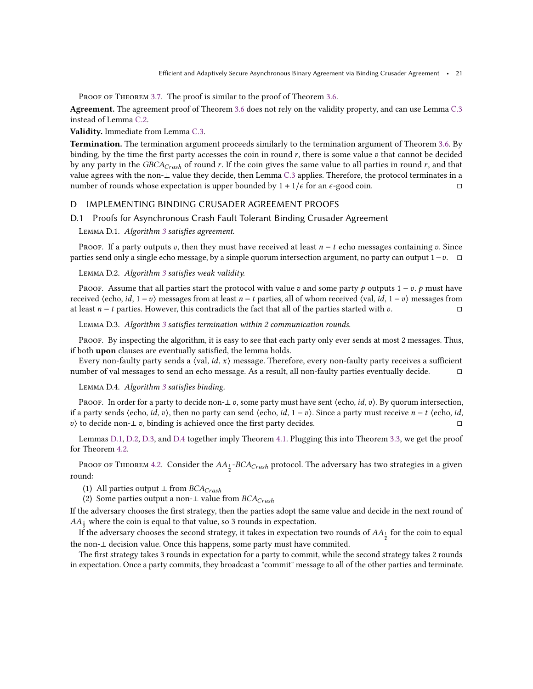PROOF OF THEOREM [3.7.](#page-9-3) The proof is similar to the proof of Theorem [3.6.](#page-9-2)

Agreement. The agreement proof of Theorem [3.6](#page-9-2) does not rely on the validity property, and can use Lemma [C.3](#page-19-2) instead of Lemma [C.2.](#page-19-1)

Validity. Immediate from Lemma [C.3.](#page-19-2)

Termination. The termination argument proceeds similarly to the termination argument of Theorem [3.6.](#page-9-2) By binding, by the time the first party accesses the coin in round  $r$ , there is some value  $v$  that cannot be decided by any party in the  $GBCA_{Crash}$  of round r. If the coin gives the same value to all parties in round r, and that value agrees with the non-⊥ value they decide, then Lemma [C.3](#page-19-2) applies. Therefore, the protocol terminates in a number of rounds whose expectation is upper bounded by  $1 + 1/\epsilon$  for an  $\epsilon$ -good coin.  $\Box$ 

#### D IMPLEMENTING BINDING CRUSADER AGREEMENT PROOFS

#### <span id="page-20-1"></span><span id="page-20-0"></span>D.1 Proofs for Asynchronous Crash Fault Tolerant Binding Crusader Agreement

Lemma D.1. Algorithm [3](#page-9-0) satisfies agreement.

PROOF. If a party outputs v, then they must have received at least  $n - t$  echo messages containing v. Since parties send only a single echo message, by a simple quorum intersection argument, no party can output  $1-v$ . □

<span id="page-20-2"></span>Lemma D.2. Algorithm [3](#page-9-0) satisfies weak validity.

Proof. Assume that all parties start the protocol with value v and some party p outputs  $1 - v$ . p must have received  $\langle$ echo, *id*,  $1 - v$ ) messages from at least  $n - t$  parties, all of whom received  $\langle$ val, *id*,  $1 - v$ ) messages from at least  $n - t$  parties. However, this contradicts the fact that all of the parties started with  $v$ .

<span id="page-20-3"></span>Lemma D.3. Algorithm [3](#page-9-0) satisfies termination within 2 communication rounds.

Proof. By inspecting the algorithm, it is easy to see that each party only ever sends at most 2 messages. Thus, if both upon clauses are eventually satisfied, the lemma holds.

Every non-faulty party sends a  $\langle val, id, x \rangle$  message. Therefore, every non-faulty party receives a sufficient number of val messages to send an echo message. As a result, all non-faulty parties eventually decide. □

<span id="page-20-4"></span>Lemma D.4. Algorithm [3](#page-9-0) satisfies binding.

Proof. In order for a party to decide non- $\perp v$ , some party must have sent  $\langle$ echo, *id*,  $v$ ). By quorum intersection, if a party sends  $\langle$ echo, *id*, *v* $\rangle$ , then no party can send  $\langle$ echo, *id*,  $1 - v \rangle$ . Since a party must receive  $n - t \langle$ echo, *id*, *v*) to decide non-⊥ *v*, binding is achieved once the first party decides. □

Lemmas [D.1,](#page-20-1) [D.2,](#page-20-2) [D.3,](#page-20-3) and [D.4](#page-20-4) together imply Theorem [4.1.](#page-9-1) Plugging this into Theorem [3.3,](#page-7-0) we get the proof for Theorem [4.2.](#page-9-4)

Proof of Theorem [4.2.](#page-9-4) Consider the  $AA_{\frac{1}{2}}$ -BCA $_{Crash}$  protocol. The adversary has two strategies in a given round:

(1) All parties output  $\perp$  from  $BCA_{Crash}$ 

(2) Some parties output a non- $\perp$  value from  $BCA_{Crash}$ 

If the adversary chooses the first strategy, then the parties adopt the same value and decide in the next round of  $AA_{\frac{1}{2}}$  where the coin is equal to that value, so 3 rounds in expectation.

If the adversary chooses the second strategy, it takes in expectation two rounds of  $AA_{\frac12}$  for the coin to equal the non-⊥ decision value. Once this happens, some party must have commited.

The first strategy takes 3 rounds in expectation for a party to commit, while the second strategy takes 2 rounds in expectation. Once a party commits, they broadcast a "commit" message to all of the other parties and terminate.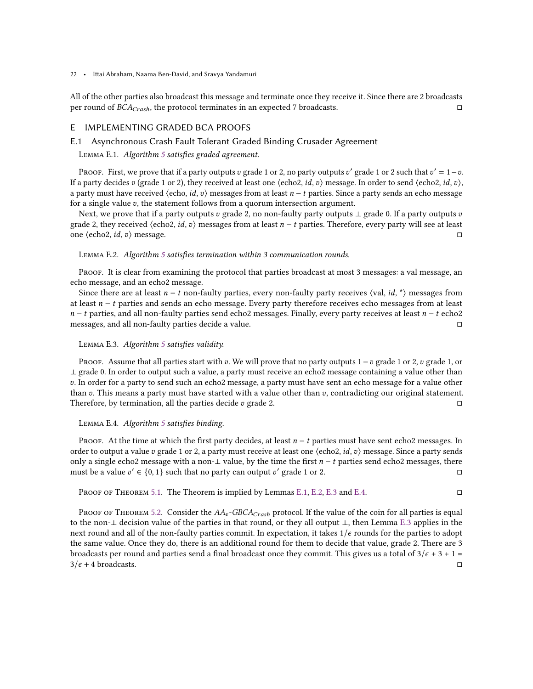All of the other parties also broadcast this message and terminate once they receive it. Since there are 2 broadcasts per round of  $BCA_{Crash}$ , the protocol terminates in an expected 7 broadcasts.  $\Box$ 

### E IMPLEMENTING GRADED BCA PROOFS

### <span id="page-21-0"></span>E.1 Asynchronous Crash Fault Tolerant Graded Binding Crusader Agreement

<span id="page-21-1"></span>Lemma E.1. Algorithm [5](#page-13-0) satisfies graded agreement.

Proof. First, we prove that if a party outputs v grade 1 or 2, no party outputs v' grade 1 or 2 such that  $v' = 1 - v$ . If a party decides v (grade 1 or 2), they received at least one  $\langle$ echo2, *id*, v $\rangle$  message. In order to send  $\langle$ echo2, *id*, v $\rangle$ , a party must have received  $\langle$ echo, *id*,  $v\rangle$  messages from at least  $n - t$  parties. Since a party sends an echo message for a single value  $v$ , the statement follows from a quorum intersection argument.

Next, we prove that if a party outputs  $v$  grade 2, no non-faulty party outputs ⊥ grade 0. If a party outputs  $v$ grade 2, they received  $\langle$ echo2, *id*, *v* $\rangle$  messages from at least *n* − *t* parties. Therefore, every party will see at least one  $\langle$ echo2, *id*,  $v$  message. □

#### <span id="page-21-2"></span>Lemma E.2. Algorithm [5](#page-13-0) satisfies termination within 3 communication rounds.

Proof. It is clear from examining the protocol that parties broadcast at most 3 messages: a val message, an echo message, and an echo2 message.

Since there are at least  $n - t$  non-faulty parties, every non-faulty party receives  $\langle \mathrm{val}, id, \cdot \rangle$  messages from at least  $n - t$  parties and sends an echo message. Every party therefore receives echo messages from at least  $n-t$  parties, and all non-faulty parties send echo2 messages. Finally, every party receives at least  $n-t$  echo2 messages, and all non-faulty parties decide a value. □

#### <span id="page-21-3"></span>Lemma E.3. Algorithm [5](#page-13-0) satisfies validity.

PROOF. Assume that all parties start with v. We will prove that no party outputs  $1 - v$  grade 1 or 2, v grade 1, or ⊥ grade 0. In order to output such a value, a party must receive an echo2 message containing a value other than . In order for a party to send such an echo2 message, a party must have sent an echo message for a value other than  $v$ . This means a party must have started with a value other than  $v$ , contradicting our original statement. Therefore, by termination, all the parties decide  $v$  grade 2.  $\Box$ 

#### <span id="page-21-4"></span>Lemma E.4. Algorithm [5](#page-13-0) satisfies binding.

PROOF. At the time at which the first party decides, at least  $n - t$  parties must have sent echo2 messages. In order to output a value v grade 1 or 2, a party must receive at least one  $\langle$ echo2, *id*, v $\rangle$  message. Since a party sends only a single echo2 message with a non-⊥ value, by the time the first  $n - t$  parties send echo2 messages, there must be a value  $v' \in \{0, 1\}$  such that no party can output v' grade 1 or 2.

Proof of Theorem [5.1.](#page-13-4) The Theorem is implied by Lemmas [E.1,](#page-21-1) [E.2,](#page-21-2) [E.3](#page-21-3) and [E.4.](#page-21-4) □

PROOF OF THEOREM [5.2.](#page-13-5) Consider the  $AA_\epsilon$ -GBC $A_{Crash}$  protocol. If the value of the coin for all parties is equal to the non-⊥ decision value of the parties in that round, or they all output ⊥, then Lemma [E.3](#page-21-3) applies in the next round and all of the non-faulty parties commit. In expectation, it takes  $1/\epsilon$  rounds for the parties to adopt the same value. Once they do, there is an additional round for them to decide that value, grade 2. There are 3 broadcasts per round and parties send a final broadcast once they commit. This gives us a total of  $3/\epsilon + 3 + 1 =$  $3/\epsilon + 4$  broadcasts.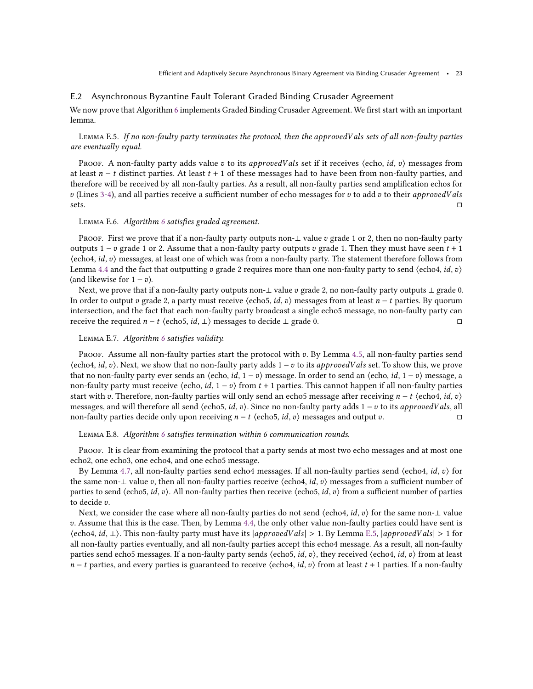### <span id="page-22-0"></span>E.2 Asynchronous Byzantine Fault Tolerant Graded Binding Crusader Agreement

We now prove that Algorithm [6](#page-14-0) implements Graded Binding Crusader Agreement. We first start with an important lemma.

## <span id="page-22-1"></span>LEMMA E.5. If no non-faulty party terminates the protocol, then the approved Vals sets of all non-faulty parties are eventually equal.

Proof. A non-faulty party adds value v to its approvedVals set if it receives  $\langle$ echo, *id*, v $\rangle$  messages from at least  $n - t$  distinct parties. At least  $t + 1$  of these messages had to have been from non-faulty parties, and therefore will be received by all non-faulty parties. As a result, all non-faulty parties send amplification echos for  $v$  (Lines [3-4\)](#page-14-0), and all parties receive a sufficient number of echo messages for  $v$  to add  $v$  to their approvedVals sets. □

### <span id="page-22-2"></span>Lemma E.6. Algorithm [6](#page-14-0) satisfies graded agreement.

PROOF. First we prove that if a non-faulty party outputs non-⊥ value  $v$  grade 1 or 2, then no non-faulty party outputs 1 –  $v$  grade 1 or 2. Assume that a non-faulty party outputs  $v$  grade 1. Then they must have seen  $t + 1$  $\langle$ echo4, *id*, *v* $\rangle$  messages, at least one of which was from a non-faulty party. The statement therefore follows from Lemma [4.4](#page-10-1) and the fact that outputting v grade 2 requires more than one non-faulty party to send  $\langle$ echo4, *id*, v $\rangle$ (and likewise for  $1 - v$ ).

Next, we prove that if a non-faulty party outputs non-⊥ value v grade 2, no non-faulty party outputs ⊥ grade 0. In order to output v grade 2, a party must receive  $\langle$ echo5, *id*, v $\rangle$  messages from at least  $n - t$  parties. By quorum intersection, and the fact that each non-faulty party broadcast a single echo5 message, no non-faulty party can receive the required  $n - t$   $\langle$ echo5,  $id, \perp \rangle$  messages to decide  $\perp$  grade 0. □

#### <span id="page-22-3"></span>Lemma E.7. Algorithm [6](#page-14-0) satisfies validity.

Proof. Assume all non-faulty parties start the protocol with  $v$ . By Lemma [4.5,](#page-11-0) all non-faulty parties send  $\langle$ echo4, *id*, v $\rangle$ . Next, we show that no non-faulty party adds 1 – v to its *approvedVals* set. To show this, we prove that no non-faulty party ever sends an  $\langle$ echo, *id*,  $1 - v \rangle$  message. In order to send an  $\langle$ echo, *id*,  $1 - v \rangle$  message, a non-faulty party must receive  $\langle$ echo, *id*,  $1 - v \rangle$  from  $t + 1$  parties. This cannot happen if all non-faulty parties start with v. Therefore, non-faulty parties will only send an echo5 message after receiving  $n - t$   $\langle$ echo4, *id*, v $\rangle$ messages, and will therefore all send  $\langle$ echo5, *id*,  $v$ ). Since no non-faulty party adds 1 – *v* to its *approvedVals*, all non-faulty parties decide only upon receiving  $n - t$   $\langle$ echo5, *id*,  $v \rangle$  messages and output  $v$ .

#### <span id="page-22-4"></span>Lemma E.8. Algorithm [6](#page-14-0) satisfies termination within 6 communication rounds.

Proof. It is clear from examining the protocol that a party sends at most two echo messages and at most one echo2, one echo3, one echo4, and one echo5 message.

By Lemma [4.7,](#page-11-1) all non-faulty parties send echo4 messages. If all non-faulty parties send  $\langle$ echo4, *id*, *v* $\rangle$  for the same non-⊥ value v, then all non-faulty parties receive  $\langle$ echo4, *id*, v $\rangle$  messages from a sufficient number of parties to send  $\langle$ echo5, *id*, *v* $\rangle$ . All non-faulty parties then receive  $\langle$ echo5, *id*, *v* $\rangle$  from a sufficient number of parties to decide v.

Next, we consider the case where all non-faulty parties do not send  $\langle$ echo4, *id*, *v* $\rangle$  for the same non- $\perp$  value . Assume that this is the case. Then, by Lemma [4.4,](#page-10-1) the only other value non-faulty parties could have sent is  $\langle$ echo4, id,  $\perp$ ). This non-faulty party must have its  $|approvedVals| > 1$ . By Lemma [E.5,](#page-22-1)  $|approvedVals| > 1$  for all non-faulty parties eventually, and all non-faulty parties accept this echo4 message. As a result, all non-faulty parties send echo5 messages. If a non-faulty party sends  $\langle$ echo5, *id*,  $v\rangle$ , they received  $\langle$ echo4, *id*,  $v\rangle$  from at least  $n-t$  parties, and every parties is guaranteed to receive  $\langle$ echo4, *id*, *v* $\rangle$  from at least  $t + 1$  parties. If a non-faulty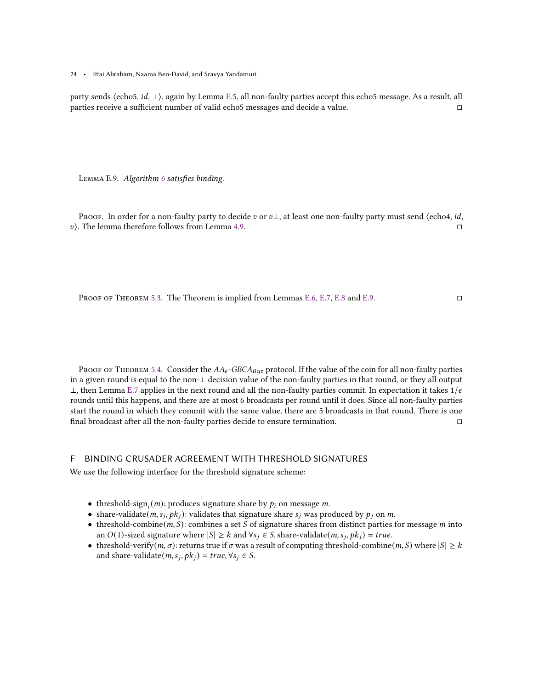party sends  $\langle$ echo5, *id*,  $\perp$ ), again by Lemma [E.5,](#page-22-1) all non-faulty parties accept this echo5 message. As a result, all parties receive a sufficient number of valid echo5 messages and decide a value. □

<span id="page-23-1"></span>Lemma E.9. Algorithm [6](#page-14-0) satisfies binding.

Proof. In order for a non-faulty party to decide  $v$  or  $v\perp$ , at least one non-faulty party must send  $\langle$ echo4, *id*,  $\sigma$ ). The lemma therefore follows from Lemma [4.9.](#page-12-0)  $\Box$ 

Proof of Theorem [5.3.](#page-14-1) The Theorem is implied from Lemmas [E.6,](#page-22-2) [E.7,](#page-22-3) [E.8](#page-22-4) and [E.9.](#page-23-1) □

PROOF OF THEOREM [5.4.](#page-15-2) Consider the  $AA_\epsilon$ -GBC $A_{Buz}$  protocol. If the value of the coin for all non-faulty parties in a given round is equal to the non-⊥ decision value of the non-faulty parties in that round, or they all output ⊥, then Lemma [E.7](#page-22-3) applies in the next round and all the non-faulty parties commit. In expectation it takes  $1/\epsilon$ rounds until this happens, and there are at most 6 broadcasts per round until it does. Since all non-faulty parties start the round in which they commit with the same value, there are 5 broadcasts in that round. There is one final broadcast after all the non-faulty parties decide to ensure termination. □

### <span id="page-23-0"></span>F BINDING CRUSADER AGREEMENT WITH THRESHOLD SIGNATURES

We use the following interface for the threshold signature scheme:

- threshold-sign<sub>i</sub> $(m)$ : produces signature share by  $p_i$  on message m.
- share-validate(*m*,  $s_i$ ,  $pk_j$ ): validates that signature share  $s_i$  was produced by  $p_i$  on *m*.
- threshold-combine $(m, S)$ : combines a set S of signature shares from distinct parties for message m into an  $O(1)$ -sized signature where  $|S| \geq k$  and  $\forall s_i \in S$ , share-validate $(m, s_i, pk_j) = true$ .
- threshold-verify $(m, \sigma)$ : returns true if  $\sigma$  was a result of computing threshold-combine $(m, S)$  where  $|S| \geq k$ and share-validate $(m, s_j, pk_j) = true, \forall s_j \in S$ .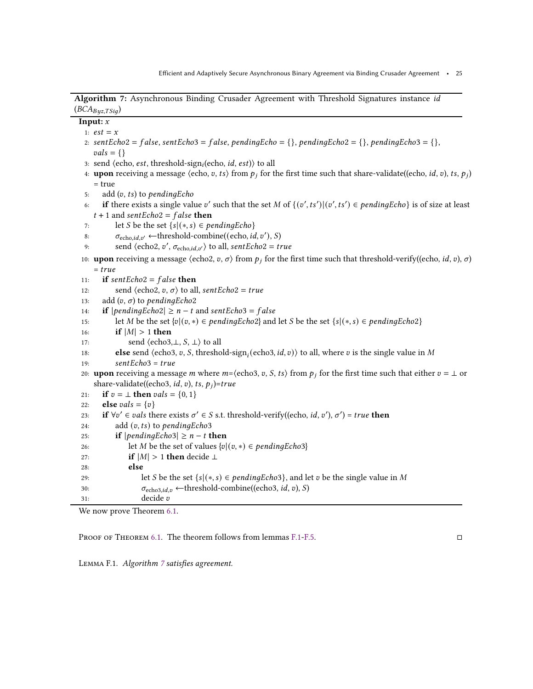<span id="page-24-0"></span>

|     | Algorithm 7: Asynchronous Binding Crusader Agreement with Threshold Signatures instance id                                                                          |
|-----|---------------------------------------------------------------------------------------------------------------------------------------------------------------------|
|     | $(BCA_{Byz,TSig})$                                                                                                                                                  |
|     | Input: $x$                                                                                                                                                          |
|     | 1: $est = x$                                                                                                                                                        |
|     | 2: $sentEcho2 = false$ , $sentEcho3 = false$ , $pendingEcho = \{\}$ , $pendingEcho2 = \{\}$ , $pendingEcho3 = \{\}$                                                 |
|     | $vals = \{\}$                                                                                                                                                       |
|     | 3: send $\langle$ echo, <i>est</i> , threshold-sign <sub>i</sub> (echo, <i>id</i> , <i>est</i> ) $\rangle$ to all                                                   |
|     | 4: <b>upon</b> receiving a message (echo, v, ts) from $p_i$ for the first time such that share-validate((echo, id, v), ts, $p_i$ )                                  |
|     | $= true$                                                                                                                                                            |
| 5:  | add $(v, ts)$ to pending Echo                                                                                                                                       |
| 6:  | if there exists a single value v' such that the set M of $\{(v',ts') (v',ts') \in pendingEcho\}$ is of size at least                                                |
|     | $t + 1$ and sentEcho2 = false then                                                                                                                                  |
| 7:  | let <i>S</i> be the set $\{s   (*, s) \in pendingEcho\}$                                                                                                            |
| 8:  | $\sigma_{\text{echo}, id, v'} \leftarrow \text{threshold-combine}((\text{echo}, id, v'), S)$                                                                        |
| 9:  | send $\langle$ echo2, v', $\sigma$ <sub>echo,<i>id</i>,v'</sub> to all, sentEcho2 = true                                                                            |
|     | 10: <b>upon</b> receiving a message $\langle$ echo2, v, $\sigma \rangle$ from $p_j$ for the first time such that threshold-verify((echo, <i>id</i> , v), $\sigma$ ) |
|     | $= true$                                                                                                                                                            |
| 11: | if sentEcho2 = $false$ then                                                                                                                                         |
| 12: | send $\langle$ echo2, v, $\sigma$ $\rangle$ to all, sentEcho2 = true                                                                                                |
| 13: | add $(v, \sigma)$ to pending Echo2                                                                                                                                  |
| 14: | <b>if</b> $ pendingEcho2  \ge n - t$ and $sentEcho3 = false$                                                                                                        |
| 15: | let M be the set $\{v (v,*)\in pendingEcho2\}$ and let S be the set $\{s (*,s)\in pendingEcho2\}$                                                                   |
| 16: | if $ M  > 1$ then                                                                                                                                                   |
| 17: | send $\langle$ echo3, $\perp$ , S, $\perp$ $\rangle$ to all                                                                                                         |
| 18: | else send (echo3, v, S, threshold-sign, (echo3, id, v)) to all, where v is the single value in M                                                                    |
| 19: | $sentEcho3 = true$                                                                                                                                                  |
|     | 20: upon receiving a message m where $m = \{echo3, v, S, ts\}$ from $p_i$ for the first time such that either $v = \bot$ or                                         |
|     | share-validate((echo3, <i>id</i> , <i>v</i> ), <i>ts</i> , $p_i$ )= <i>true</i>                                                                                     |
| 21: | if $v = \perp$ then $vals = \{0, 1\}$                                                                                                                               |
| 22: | else <i>vals</i> = $\{v\}$                                                                                                                                          |
| 23: | if $\forall v' \in vals$ there exists $\sigma' \in S$ s.t. threshold-verify((echo, id, v'), $\sigma'$ ) = true then                                                 |
| 24: | add $(v, ts)$ to pending Echo3                                                                                                                                      |
| 25: | <b>if</b> $ pendingEcho3  \geq n - t$ then                                                                                                                          |
| 26: | let <i>M</i> be the set of values $\{v   (v, *) \in pendingEcho3\}$                                                                                                 |
| 27: | if $ M  > 1$ then decide $\perp$                                                                                                                                    |
| 28: | else                                                                                                                                                                |
| 29: | let <i>S</i> be the set $\{s   (*, s) \in pendingEcho3\}$ , and let <i>v</i> be the single value in <i>M</i>                                                        |
| 30: | $\sigma_{\text{echo3}, id, v} \leftarrow \text{threshold-combine((echo3, id, v), S)}$                                                                               |
| 31: | $decide$ $v$                                                                                                                                                        |

We now prove Theorem [6.1.](#page-15-0)

PROOF OF THEOREM [6.1.](#page-15-0) The theorem follows from lemmas [F.1-](#page-24-1)[F.5.](#page-25-0)  $\Box$ 

<span id="page-24-1"></span>Lemma F.1. Algorithm [7](#page-24-0) satisfies agreement.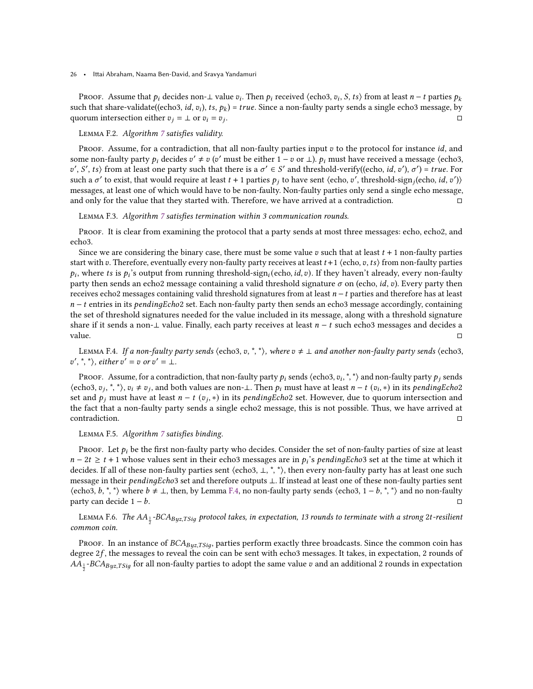Proof. Assume that  $p_i$  decides non- $\perp$  value  $v_i$ . Then  $p_i$  received  $\langle$ echo3,  $v_i$ , S, ts $\rangle$  from at least  $n-t$  parties  $p_k$ such that share-validate((echo3, id, v<sub>i</sub>), ts,  $p_k$ ) = true. Since a non-faulty party sends a single echo3 message, by quorum intersection either  $v_j = \bot$  or  $v_i = v_j$ . . □

#### Lemma F.2. Algorithm [7](#page-24-0) satisfies validity.

Proof. Assume, for a contradiction, that all non-faulty parties input  $v$  to the protocol for instance  $id$ , and some non-faulty party  $p_i$  decides  $v' \neq v$  (v' must be either  $1-v$  or  $\perp$ ).  $p_i$  must have received a message  $\langle$ echo3, v', S', ts) from at least one party such that there is a  $\sigma' \in S'$  and threshold-verify((echo, id, v'),  $\sigma'$ ) = true. For such a  $\sigma'$  to exist, that would require at least  $t + 1$  parties  $p_i$  to have sent  $\langle$ echo,  $v'$ , threshold-sign<sub>j</sub> $\rangle$ (echo, *id*,  $v'$ )) messages, at least one of which would have to be non-faulty. Non-faulty parties only send a single echo message, and only for the value that they started with. Therefore, we have arrived at a contradiction. □

<span id="page-25-3"></span>Lemma F.3. Algorithm [7](#page-24-0) satisfies termination within 3 communication rounds.

Proof. It is clear from examining the protocol that a party sends at most three messages: echo, echo2, and echo3.

Since we are considering the binary case, there must be some value  $v$  such that at least  $t + 1$  non-faulty parties start with v. Therefore, eventually every non-faulty party receives at least  $t+1$   $\langle$ echo, v, ts $\rangle$  from non-faulty parties  $p_i$ , where ts is  $p_i$ 's output from running threshold-sign<sub>i</sub>(echo, *id*, *v*). If they haven't already, every non-faulty party then sends an echo2 message containing a valid threshold signature  $\sigma$  on (echo, *id*, *v*). Every party then receives echo2 messages containing valid threshold signatures from at least  $n - t$  parties and therefore has at least  $n-t$  entries in its *pendingEcho2* set. Each non-faulty party then sends an echo3 message accordingly, containing the set of threshold signatures needed for the value included in its message, along with a threshold signature share if it sends a non- $\perp$  value. Finally, each party receives at least  $n - t$  such echo3 messages and decides a value. □

<span id="page-25-1"></span>LEMMA F.4. If a non-faulty party sends  $\langle$ echo3, v, \*, \*), where  $v \neq \bot$  and another non-faulty party sends  $\langle$ echo3,  $v', \dot{ }, \dot{ } \rangle$ , either  $v' = v$  or  $v' = \bot$ .

Proof. Assume, for a contradiction, that non-faulty party  $p_i$  sends  $\langle$ echo3,  $v_i, *$ , $*$ ) and non-faulty party  $p_i$  sends  $\langle$ echo3,  $v_i, *, *, \rangle$ ,  $v_i \neq v_j$ , and both values are non- $\perp$ . Then  $p_i$  must have at least  $n - t$   $(v_i, *)$  in its pending Echo2 set and  $p_j$  must have at least  $n-t$  ( $v_j$ ,\*) in its *pendingEcho2* set. However, due to quorum intersection and the fact that a non-faulty party sends a single echo2 message, this is not possible. Thus, we have arrived at contradiction. □

### <span id="page-25-0"></span>Lemma F.5. Algorithm [7](#page-24-0) satisfies binding.

Proof. Let  $p_i$  be the first non-faulty party who decides. Consider the set of non-faulty parties of size at least  $n-2t \geq t+1$  whose values sent in their echo3 messages are in  $p_i$ 's pendingEcho3 set at the time at which it decides. If all of these non-faulty parties sent  $\langle$ echo3,  $\perp, *, *, \rangle$ , then every non-faulty party has at least one such message in their *pendingEcho*3 set and therefore outputs ⊥. If instead at least one of these non-faulty parties sent  $\langle$ echo3, b, \*, \* $\rangle$  where  $b \neq \bot$ , then, by Lemma [F.4,](#page-25-1) no non-faulty party sends  $\langle$ echo3, 1 – b, \*, \* $\rangle$  and no non-faulty party can decide  $1 - b$ . □

<span id="page-25-2"></span>LEMMA F.6. The  $AA_{\frac{1}{2}}$ -BC $A_{Byz,TSig}$  protocol takes, in expectation, 13 rounds to terminate with a strong 2t-resilient common coin.

PROOF. In an instance of  $BCA_{Buz,TSig}$ , parties perform exactly three broadcasts. Since the common coin has degree  $2f$ , the messages to reveal the coin can be sent with echo3 messages. It takes, in expectation, 2 rounds of  $A\overline{A}_{\frac{1}{2}}$ -BC $A_{Byz,TSig}$  for all non-faulty parties to adopt the same value  $v$  and an additional 2 rounds in expectation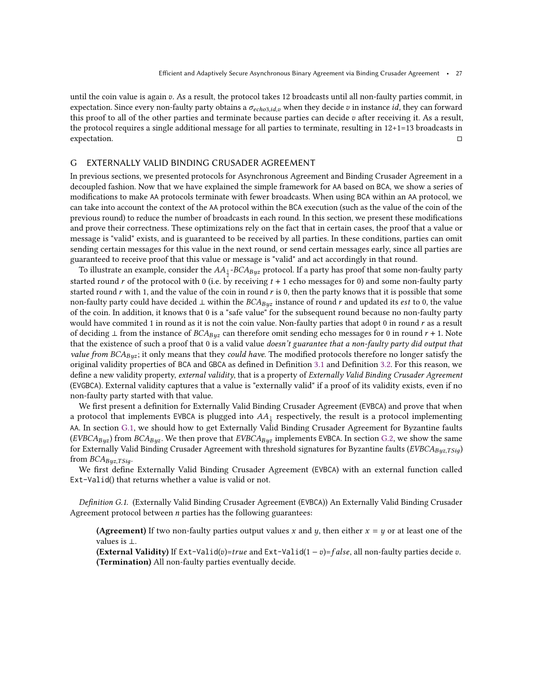until the coin value is again  $v$ . As a result, the protocol takes 12 broadcasts until all non-faulty parties commit, in expectation. Since every non-faulty party obtains a  $\sigma_{echo3, id, v}$  when they decide v in instance id, they can forward this proof to all of the other parties and terminate because parties can decide  $v$  after receiving it. As a result, the protocol requires a single additional message for all parties to terminate, resulting in 12+1=13 broadcasts in expectation. □

# G EXTERNALLY VALID BINDING CRUSADER AGREEMENT

In previous sections, we presented protocols for Asynchronous Agreement and Binding Crusader Agreement in a decoupled fashion. Now that we have explained the simple framework for AA based on BCA, we show a series of modifications to make AA protocols terminate with fewer broadcasts. When using BCA within an AA protocol, we can take into account the context of the AA protocol within the BCA execution (such as the value of the coin of the previous round) to reduce the number of broadcasts in each round. In this section, we present these modifications and prove their correctness. These optimizations rely on the fact that in certain cases, the proof that a value or message is "valid" exists, and is guaranteed to be received by all parties. In these conditions, parties can omit sending certain messages for this value in the next round, or send certain messages early, since all parties are guaranteed to receive proof that this value or message is "valid" and act accordingly in that round.

To illustrate an example, consider the  $AA_{\frac{1}{2}}$ -BCA<sub>Byz</sub> protocol. If a party has proof that some non-faulty party started round  $r$  of the protocol with 0 (i.e. by receiving  $t + 1$  echo messages for 0) and some non-faulty party started round  $r$  with 1, and the value of the coin in round  $r$  is 0, then the party knows that it is possible that some non-faulty party could have decided  $\perp$  within the  $BCA_{Buz}$  instance of round r and updated its *est* to 0, the value of the coin. In addition, it knows that 0 is a "safe value" for the subsequent round because no non-faulty party would have commited 1 in round as it is not the coin value. Non-faulty parties that adopt 0 in round  $r$  as a result of deciding  $\perp$  from the instance of  $BCA_{Byz}$  can therefore omit sending echo messages for 0 in round  $r + 1$ . Note that the existence of such a proof that 0 is a valid value *doesn't guarantee that a non-faulty party did output that* value from  $BCA_{Byz}$ ; it only means that they could have. The modified protocols therefore no longer satisfy the original validity properties of BCA and GBCA as defined in Definition [3.1](#page-5-0) and Definition [3.2.](#page-5-1) For this reason, we define a new validity property, external validity, that is a property of Externally Valid Binding Crusader Agreement (EVGBCA). External validity captures that a value is "externally valid" if a proof of its validity exists, even if no non-faulty party started with that value.

We first present a definition for Externally Valid Binding Crusader Agreement (EVBCA) and prove that when a protocol that implements EVBCA is plugged into  $AA_{\frac{1}{2}}$  respectively, the result is a protocol implementing AA. In section [G.1,](#page-28-0) we should how to get Externally Valid Binding Crusader Agreement for Byzantine faults (EVBCA<sub>Byz</sub>) from BCA<sub>Byz</sub>. We then prove that EVBCA<sub>Byz</sub> implements EVBCA. In section [G.2,](#page-30-0) we show the same for Externally Valid Binding Crusader Agreement with threshold signatures for Byzantine faults ( $EVBCA_{Byz,TSig}$ ) from  $BCA_{Buz,TSia}$ .

We first define Externally Valid Binding Crusader Agreement (EVBCA) with an external function called Ext-Valid() that returns whether a value is valid or not.

Definition G.1. (Externally Valid Binding Crusader Agreement (EVBCA)) An Externally Valid Binding Crusader Agreement protocol between  $n$  parties has the following guarantees:

(Agreement) If two non-faulty parties output values x and y, then either  $x = y$  or at least one of the values is ⊥.

(External Validity) If  $Ext-Valid(v)= true$  and  $Ext-Valid(1 - v)= false$ , all non-faulty parties decide v. (Termination) All non-faulty parties eventually decide.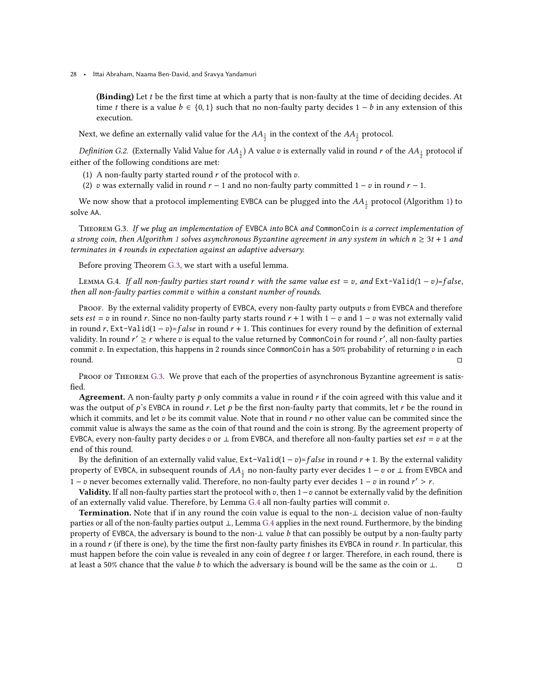(Binding) Let  $t$  be the first time at which a party that is non-faulty at the time of deciding decides. At time *t* there is a value  $b \in \{0, 1\}$  such that no non-faulty party decides  $1 - b$  in any extension of this execution.

Next, we define an externally valid value for the  $AA_{\frac{1}{2}}$  in the context of the  $AA_{\frac{1}{2}}$  protocol.

<span id="page-27-2"></span>Definition G.2. (Externally Valid Value for  $AA_{\frac{1}{2}}$ ) A value v is externally valid in round r of the  $AA_{\frac{1}{2}}$  protocol if either of the following conditions are met:

- (1) A non-faulty party started round  $r$  of the protocol with  $v$ .
- (2) v was externally valid in round  $r 1$  and no non-faulty party committed  $1 v$  in round  $r 1$ .

We now show that a protocol implementing EVBCA can be plugged into the  $AA_{\frac{1}{2}}$  protocol (Algorithm [1\)](#page-6-0) to solve AA.

<span id="page-27-0"></span>THEOREM G.3. If we plug an implementation of EVBCA into BCA and CommonCoin is a correct implementation of a strong coin, then Algorithm [1](#page-6-0) solves asynchronous Byzantine agreement in any system in which  $n \geq 3t + 1$  and terminates in 4 rounds in expectation against an adaptive adversary.

Before proving Theorem [G.3,](#page-27-0) we start with a useful lemma.

<span id="page-27-1"></span>LEMMA G.4. If all non-faulty parties start round r with the same value est = v, and  $Ext$ -Valid(1 – v)=false, then all non-faulty parties commit v within a constant number of rounds.

Proof. By the external validity property of EVBCA, every non-faulty party outputs  $v$  from EVBCA and therefore sets  $est = v$  in round r. Since no non-faulty party starts round  $r + 1$  with  $1 - v$  and  $1 - v$  was not externally valid in round r, Ext-Valid(1 – v)=  $false$  in round  $r + 1$ . This continues for every round by the definition of external validity. In round  $r' \geq r$  where  $v$  is equal to the value returned by CommonCoin for round  $r'$ , all non-faulty parties commit  $v$ . In expectation, this happens in 2 rounds since CommonCoin has a 50% probability of returning  $v$  in each round. □

PROOF OF THEOREM [G.3.](#page-27-0) We prove that each of the properties of asynchronous Byzantine agreement is satisfied.

**Agreement.** A non-faulty party  $p$  only commits a value in round  $r$  if the coin agreed with this value and it was the output of  $p$ 's EVBCA in round r. Let p be the first non-faulty party that commits, let r be the round in which it commits, and let  $v$  be its commit value. Note that in round  $r$  no other value can be commited since the commit value is always the same as the coin of that round and the coin is strong. By the agreement property of EVBCA, every non-faulty party decides  $v$  or  $\perp$  from EVBCA, and therefore all non-faulty parties set  $est = v$  at the end of this round.

By the definition of an externally valid value,  $Ext$ -Valid(1 – v)=  $false$  in round  $r + 1$ . By the external validity property of EVBCA, in subsequent rounds of  $AA_{\frac{1}{2}}$  no non-faulty party ever decides 1 −  $v$  or ⊥ from EVBCA and 1 – v never becomes externally valid. Therefore, no non-faulty party ever decides 1 – v in round  $r' > r$ .

Validity. If all non-faulty parties start the protocol with  $v$ , then  $1-v$  cannot be externally valid by the definition of an externally valid value. Therefore, by Lemma  $G.4$  all non-faulty parties will commit  $v$ .

Termination. Note that if in any round the coin value is equal to the non-⊥ decision value of non-faulty parties or all of the non-faulty parties output ⊥, Lemma [G.4](#page-27-1) applies in the next round. Furthermore, by the binding property of EVBCA, the adversary is bound to the non- $\perp$  value *b* that can possibly be output by a non-faulty party in a round  $r$  (if there is one), by the time the first non-faulty party finishes its EVBCA in round  $r$ . In particular, this must happen before the coin value is revealed in any coin of degree t or larger. Therefore, in each round, there is at least a 50% chance that the value *b* to which the adversary is bound will be the same as the coin or ⊥. □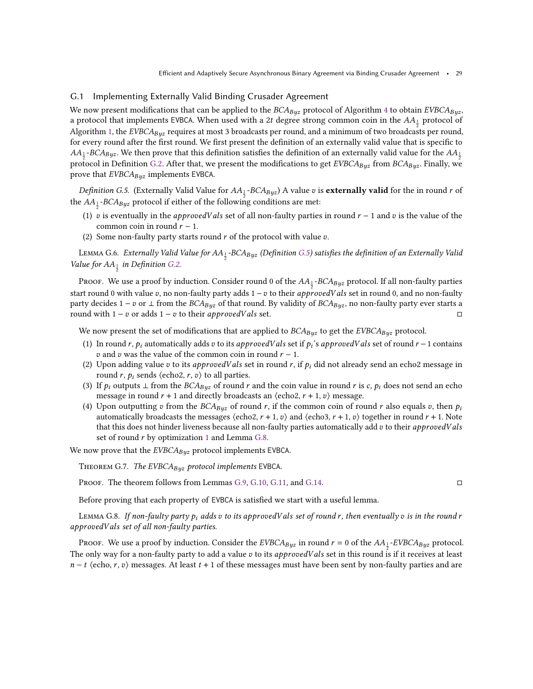### <span id="page-28-0"></span>G.1 Implementing Externally Valid Binding Crusader Agreement

We now present modifications that can be applied to the  $BCA_{Byz}$  protocol of Algorithm [4](#page-10-0) to obtain  $EVBCA_{Byz}$ , a protocol that implements EVBCA. When used with a 2 $t$  degree strong common coin in the  $AA_{\frac{1}{2}}$  protocol of Algorithm [1,](#page-6-0) the  $EVBCA_{Byz}$  requires at most 3 broadcasts per round, and a minimum of two broadcasts per round, for every round after the first round. We first present the definition of an externally valid value that is specific to  $AA_{\frac{1}{2}}$ -BC $A_{Byz}$ . We then prove that this definition satisfies the definition of an externally valid value for the  $AA_{\frac{1}{2}}$ protocol in Definition [G.2.](#page-27-2) After that, we present the modifications to get  $EVBCA_{Buz}$  from  $BCA_{Buz}$ . Finally, we prove that  $EVBCA_{Byz}$  implements EVBCA.

<span id="page-28-1"></span>*Definition G.5.* (Externally Valid Value for  $AA_{\frac{1}{2}}$ -BC $A_{Byz}$ ) A value  $v$  is **externally valid** for the in round  $r$  of the  $AA_{\frac{1}{2}}$ -BC $A_{Byz}$  protocol if either of the following conditions are met:

- (1) v is eventually in the approvedVals set of all non-faulty parties in round  $r 1$  and v is the value of the common coin in round  $r - 1$ .
- (2) Some non-faulty party starts round  $r$  of the protocol with value  $v$ .

LEMMA G.6. Externally Valid Value for  $AA_{\frac{1}{2}}$ -BC $A_{Byz}$  (Definition [G.5\)](#page-28-1) satisfies the definition of an Externally Valid Value for  $AA_{\frac{1}{2}}$  in Definition [G.2.](#page-27-2)

Proof. We use a proof by induction. Consider round 0 of the  $AA_{\frac{1}{2}}$ -BC $A_{Byz}$  protocol. If all non-faulty parties start round 0 with value v, no non-faulty party adds  $1 - v$  to their *approvedVals* set in round 0, and no non-faulty party decides  $1 - v$  or  $\perp$  from the  $BCA_{Buz}$  of that round. By validity of  $BCA_{Buz}$ , no non-faulty party ever starts a round with 1 − v or adds 1 − v to their *approvedVals* set.  $□$ 

We now present the set of modifications that are applied to  $BCA_{Byz}$  to get the  $EVBCA_{Byz}$  protocol.

- <span id="page-28-2"></span>(1) In round r,  $p_i$  automatically adds v to its approvedVals set if  $p_i$ 's approvedVals set of round  $r-1$  contains *v* and *v* was the value of the common coin in round  $r - 1$ .
- (2) Upon adding value v to its approved Vals set in round r, if  $p_i$  did not already send an echo2 message in round r,  $p_i$  sends  $\langle$ echo2, r, v $\rangle$  to all parties.
- (3) If  $p_i$  outputs  $\perp$  from the  $BCA_{\text{Byz}}$  of round r and the coin value in round r is c,  $p_i$  does not send an echo message in round  $r + 1$  and directly broadcasts an  $\langle$ echo2,  $r + 1$ ,  $v \rangle$  message.
- <span id="page-28-4"></span>(4) Upon outputting v from the  $BCA_{Byz}$  of round r, if the common coin of round r also equals v, then  $p_i$ automatically broadcasts the messages  $\langle$ echo2,  $r + 1$ ,  $v \rangle$  and  $\langle$ echo3,  $r + 1$ ,  $v \rangle$  together in round  $r + 1$ . Note that this does not hinder liveness because all non-faulty parties automatically add  $v$  to their *approvedVals* set of round  $r$  by optimization [1](#page-28-2) and Lemma [G.8.](#page-28-3)

We now prove that the  $EVBCA_{Byz}$  protocol implements EVBCA.

THEOREM G.7. The EVBCA $_{Byz}$  protocol implements EVBCA.

Proof. The theorem follows from Lemmas [G.9,](#page-29-0) [G.10,](#page-29-1) [G.11,](#page-29-2) and [G.14.](#page-30-1) □

Before proving that each property of EVBCA is satisfied we start with a useful lemma.

<span id="page-28-3"></span>LEMMA G.8. If non-faulty party  $p_i$  adds  $v$  to its approvedVals set of round r, then eventually  $v$  is in the round r approvedVals set of all non-faulty parties.

Proof. We use a proof by induction. Consider the  $EVBCA_{Byz}$  in round  $r = 0$  of the  $AA_{\frac{1}{2}}$ -EVBC $A_{Byz}$  protocol. The only way for a non-faulty party to add a value  $v$  to its  $approvedVals$  set in this round is if it receives at least  $n - t$   $\langle$ echo, r, v) messages. At least  $t + 1$  of these messages must have been sent by non-faulty parties and are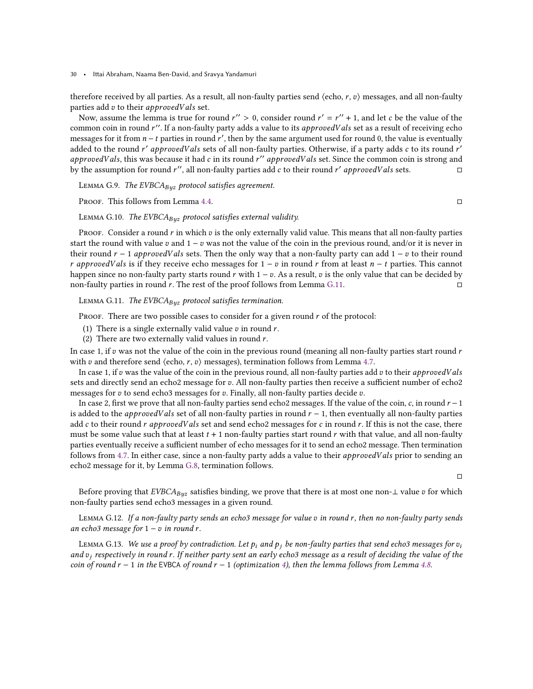therefore received by all parties. As a result, all non-faulty parties send  $\langle$ echo, r, v $\rangle$  messages, and all non-faulty parties add  $v$  to their *approved Vals* set.

Now, assume the lemma is true for round  $r'' > 0$ , consider round  $r' = r'' + 1$ , and let c be the value of the common coin in round  $r''$ . If a non-faulty party adds a value to its *approvedVals* set as a result of receiving echo messages for it from  $n-t$  parties in round r', then by the same argument used for round 0, the value is eventually added to the round r' approved Vals sets of all non-faulty parties. Otherwise, if a party adds c to its round r' approved Vals, this was because it had c in its round  $r''$  approved Vals set. Since the common coin is strong and by the assumption for round r'', all non-faulty parties add c to their round r' approved Vals sets.

<span id="page-29-0"></span>LEMMA G.9. The EVBC $A_{Byz}$  protocol satisfies agreement.

Proof. This follows from Lemma [4.4.](#page-10-1) □

<span id="page-29-1"></span>LEMMA G.10. The EVBCA $_{Buz}$  protocol satisfies external validity.

Proof. Consider a round  $r$  in which  $v$  is the only externally valid value. This means that all non-faulty parties start the round with value  $v$  and  $1 - v$  was not the value of the coin in the previous round, and/or it is never in their round  $r - 1$  approved Vals sets. Then the only way that a non-faulty party can add  $1 - v$  to their round r approvedVals is if they receive echo messages for  $1 - v$  in round r from at least  $n - t$  parties. This cannot happen since no non-faulty party starts round  $r$  with  $1 - v$ . As a result,  $v$  is the only value that can be decided by non-faulty parties in round r. The rest of the proof follows from Lemma [G.11.](#page-29-2)  $\Box$ 

<span id="page-29-2"></span>LEMMA G.11. The EVBCA $_{Byz}$  protocol satisfies termination.

PROOF. There are two possible cases to consider for a given round  $r$  of the protocol:

- (1) There is a single externally valid value  $v$  in round  $r$ .
- (2) There are two externally valid values in round  $r$ .

In case 1, if  $v$  was not the value of the coin in the previous round (meaning all non-faulty parties start round  $r$ with v and therefore send  $\langle$ echo, r, v $\rangle$  messages), termination follows from Lemma [4.7.](#page-11-1)

In case 1, if  $v$  was the value of the coin in the previous round, all non-faulty parties add  $v$  to their *approvedVals* sets and directly send an echo2 message for v. All non-faulty parties then receive a sufficient number of echo2 messages for  $v$  to send echo3 messages for  $v$ . Finally, all non-faulty parties decide  $v$ .

In case 2, first we prove that all non-faulty parties send echo2 messages. If the value of the coin, c, in round  $r-1$ is added to the *approvedVals* set of all non-faulty parties in round  $r - 1$ , then eventually all non-faulty parties add  $c$  to their round  $r$  approved Vals set and send echo2 messages for  $c$  in round  $r$ . If this is not the case, there must be some value such that at least  $t + 1$  non-faulty parties start round  $r$  with that value, and all non-faulty parties eventually receive a sufficient number of echo messages for it to send an echo2 message. Then termination follows from [4.7.](#page-11-1) In either case, since a non-faulty party adds a value to their  $approvedVals$  prior to sending an echo2 message for it, by Lemma [G.8,](#page-28-3) termination follows.

 $\Box$ 

Before proving that  $EVBCA_{\iota\iota\iota\iota}$  satisfies binding, we prove that there is at most one non-⊥ value  $v$  for which non-faulty parties send echo3 messages in a given round.

<span id="page-29-3"></span>LEMMA G.12. If a non-faulty party sends an echo3 message for value  $v$  in round  $r$ , then no non-faulty party sends an echo3 message for  $1 - v$  in round r.

LEMMA G.13. We use a proof by contradiction. Let  $p_i$  and  $p_j$  be non-faulty parties that send echo3 messages for  $v_i$ and  $v_i$  respectively in round r. If neither party sent an early echo3 message as a result of deciding the value of the coin of round  $r - 1$  in the EVBCA of round  $r - 1$  (optimization [4\)](#page-28-4), then the lemma follows from Lemma [4.8.](#page-12-1)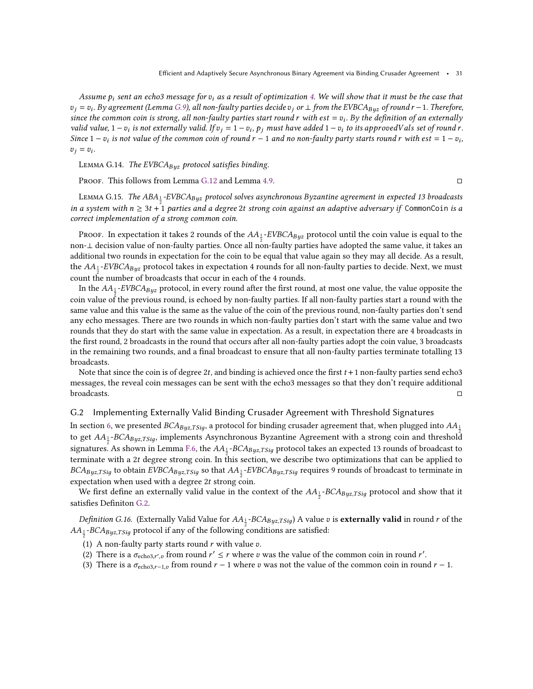Assume  $p_i$  sent an echo3 message for  $v_i$  as a result of optimization [4.](#page-28-4) We will show that it must be the case that  $v_j=v_i.$  By agreement (Lemma [G.9\)](#page-29-0), all non-faulty parties decide  $v_j$  or  $\perp$  from the EVBCA $_{Byz}$  of round  $r$  – 1. Therefore, since the common coin is strong, all non-faulty parties start round  $r$  with est  $= v_i$ . By the definition of an externally valid value,  $1 - v_i$  is not externally valid. If  $v_j = 1 - v_i$ ,  $p_j$  must have added  $1 - v_i$  to its approvedVals set of round r. Since  $1 - v_i$  is not value of the common coin of round  $r - 1$  and no non-faulty party starts round r with est =  $1 - v_i$ ,  $v_i = v_i$ .

<span id="page-30-1"></span>LEMMA G.14. The EVBC $A_{Buz}$  protocol satisfies binding.

PROOF. This follows from Lemma [G.12](#page-29-3) and Lemma [4.9.](#page-12-0)  $\Box$ 

LEMMA G.15. The  $ABA_{\frac{1}{2}}$ -EVBC $A_{Byz}$  protocol solves asynchronous Byzantine agreement in expected 13 broadcasts in a system with  $n \geq 3t + 1$  parties and a degree 2t strong coin against an adaptive adversary if CommonCoin is a correct implementation of a strong common coin.

Proof. In expectation it takes 2 rounds of the  $AA_{\frac{1}{2}}$ -EVBC $A_{Byz}$  protocol until the coin value is equal to the non-⊥ decision value of non-faulty parties. Once all non-faulty parties have adopted the same value, it takes an additional two rounds in expectation for the coin to be equal that value again so they may all decide. As a result, the  $AA_{\frac{1}{2}}$ -EVBC $A_{Byz}$  protocol takes in expectation 4 rounds for all non-faulty parties to decide. Next, we must count the number of broadcasts that occur in each of the 4 rounds.

In the  $AA_{\frac{1}{2}}$ -EVBC $A_{Byz}$  protocol, in every round after the first round, at most one value, the value opposite the coin value of the previous round, is echoed by non-faulty parties. If all non-faulty parties start a round with the same value and this value is the same as the value of the coin of the previous round, non-faulty parties don't send any echo messages. There are two rounds in which non-faulty parties don't start with the same value and two rounds that they do start with the same value in expectation. As a result, in expectation there are 4 broadcasts in the first round, 2 broadcasts in the round that occurs after all non-faulty parties adopt the coin value, 3 broadcasts in the remaining two rounds, and a final broadcast to ensure that all non-faulty parties terminate totalling 13 broadcasts.

Note that since the coin is of degree 2t, and binding is achieved once the first  $t + 1$  non-faulty parties send echo3 messages, the reveal coin messages can be sent with the echo3 messages so that they don't require additional broadcasts. □

### <span id="page-30-0"></span>G.2 Implementing Externally Valid Binding Crusader Agreement with Threshold Signatures

In section [6,](#page-15-3) we presented  $BCA_{Byz,TSig}$ , a protocol for binding crusader agreement that, when plugged into  $AA_{\frac{1}{2}}$ to get  $AA_{\frac{1}{2}}$ -BC $A_{Byz,TSig}$ , implements Asynchronous Byzantine Agreement with a strong coin and threshold signatures. As shown in Lemma [F.6,](#page-25-2) the  $AA_{\frac{1}{2}}$ -BC $A_{Byz,TSig}$  protocol takes an expected 13 rounds of broadcast to terminate with a 2t degree strong coin. In this section, we describe two optimizations that can be applied to  $BCA_{Byz,TSig}$  to obtain  $EVBCA_{Byz,TSig}$  so that  $AA_{\frac{1}{2}}$ - $EVBCA_{Byz,TSig}$  requires 9 rounds of broadcast to terminate in expectation when used with a degree  $2t$  strong coin.

We first define an externally valid value in the context of the  $AA_{\frac{1}{2}}$ -BCA<sub>Byz,TSig</sub> protocol and show that it satisfies Definiton [G.2.](#page-27-2)

<span id="page-30-4"></span>*Definition G.16.* (Externally Valid Value for  $AA_{\frac{1}{2}}$ -BCA<sub>Byz,TSig</sub>) A value v is **externally valid** in round r of the  $AA_{\frac{1}{2}}$ -BC $A_{Byz,TSig}$  protocol if any of the following conditions are satisfied:

- <span id="page-30-2"></span>(1) A non-faulty party starts round  $r$  with value  $v$ .
- <span id="page-30-3"></span>(2) There is a  $\sigma_{\text{echo3}, r', v}$  from round  $r' \leq r$  where v was the value of the common coin in round r'.
- <span id="page-30-5"></span>(3) There is a  $\sigma_{\text{echo3},r-1,v}$  from round  $r-1$  where v was not the value of the common coin in round  $r-1$ .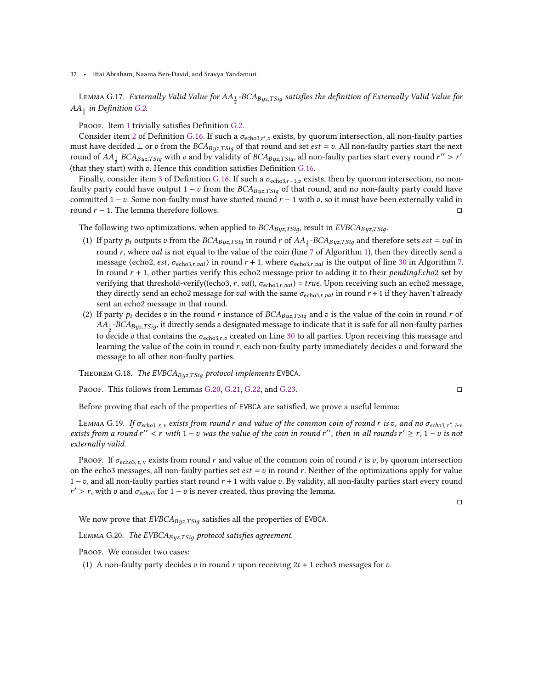LEMMA G.17. Externally Valid Value for  $AA_{\frac{1}{2}}$ -BC $A_{Byz,TSig}$  satisfies the definition of Externally Valid Value for  $AA_{\frac{1}{2}}$  in Definition [G.2.](#page-27-2)

Proof. Item [1](#page-30-2) trivially satisfies Definition [G.2.](#page-27-2)

Consider item [2](#page-30-3) of Definition [G.16.](#page-30-4) If such a  $\sigma_{\text{echo3},r',v}$  exists, by quorum intersection, all non-faulty parties must have decided ⊥ or *v* from the  $BCA_{Byz,TSig}$  of that round and set  $est = v$ . All non-faulty parties start the next round of  $AA_{\frac{1}{2}}$  BC $A_{Byz,TSig}$  with  $v$  and by validity of BC $A_{Byz,TSig}$ , all non-faulty parties start every round  $r'' > r'$ (that they start) with  $v$ . Hence this condition satisfies Definition [G.16.](#page-30-4)

Finally, consider item [3](#page-30-5) of Definition [G.16.](#page-30-4) If such a  $\sigma_{\text{echo3},r-1,v}$  exists, then by quorum intersection, no nonfaulty party could have output  $1 - v$  from the  $BCA_{Byz,TSig}$  of that round, and no non-faulty party could have committed  $1 - v$ . Some non-faulty must have started round  $r - 1$  with v, so it must have been externally valid in round  $r - 1$ . The lemma therefore follows.

The following two optimizations, when applied to  $BCA_{Byz,TSig}$ , result in  $EVBCA_{Byz,TSig}$ .

- (1) If party  $p_i$  outputs v from the  $BCA_{Byz,TSig}$  in round r of  $AA_{\frac{1}{2}}$ - $BCA_{Byz,TSig}$  and therefore sets  $est = val$  in round r, where *val* is not equal to the value of the coin (line [7](#page-6-0) of Algorithm [1\)](#page-6-0), then they directly send a message  $\langle$ echo2, *est*,  $\sigma$ <sub>echo3,r,val</sub> $\rangle$  in round  $r + 1$ , where  $\sigma$ <sub>echo3,r,val</sub> is the output of line [30](#page-24-0) in Algorithm [7.](#page-24-0) In round  $r + 1$ , other parties verify this echo2 message prior to adding it to their *pendingEcho2* set by verifying that threshold-verify((echo3, r, val),  $\sigma_{\text{echo3},r,val}$ ) = true. Upon receiving such an echo2 message, they directly send an echo2 message for *val* with the same  $\sigma_{\text{echo3}, r, val}$  in round  $r + 1$  if they haven't already sent an echo2 message in that round.
- (2) If party  $p_i$  decides  $v$  in the round  $r$  instance of  $BCA_{Byz,TSig}$  and  $v$  is the value of the coin in round  $r$  of  $A\AA_{\frac{1}{2}}$ -BC $A_{Byz,TSig}$ , it directly sends a designated message to indicate that it is safe for all non-faulty parties to decide  $v$  that contains the  $\sigma_{\text{echo3},r,v}$  created on Line [30](#page-24-0) to all parties. Upon receiving this message and learning the value of the coin in round  $r$ , each non-faulty party immediately decides  $v$  and forward the message to all other non-faulty parties.

THEOREM G.18. The EVBCA $_{Byz,TSig}$  protocol implements EVBCA.

Proof. This follows from Lemmas [G.20,](#page-31-0) [G.21,](#page-32-0) [G.22,](#page-32-1) and [G.23.](#page-32-2) □

Before proving that each of the properties of EVBCA are satisfied, we prove a useful lemma:

<span id="page-31-1"></span>LEMMA G.19. If  $\sigma_{echo3, r, v}$  exists from round r and value of the common coin of round r is v, and no  $\sigma_{echo3, r, 1-v}$ exists from a round  $r'' < r$  with  $1 - v$  was the value of the coin in round  $r''$ , then in all rounds  $r' \ge r$ ,  $1 - v$  is not externally valid.

PROOF. If  $\sigma_{\rm echo3, r, v}$  exists from round r and value of the common coin of round r is v, by quorum intersection on the echo3 messages, all non-faulty parties set  $est = v$  in round r. Neither of the optimizations apply for value  $1 - v$ , and all non-faulty parties start round  $r + 1$  with value v. By validity, all non-faulty parties start every round  $r' > r$ , with v and  $\sigma_{echo3}$  for 1 – v is never created, thus proving the lemma.

 $\Box$ 

We now prove that  $EVBCA_{Byz,TSig}$  satisfies all the properties of EVBCA.

<span id="page-31-0"></span>LEMMA G.20. The EVBC $A_{Byz,TSig}$  protocol satisfies agreement.

PROOF. We consider two cases:

(1) A non-faulty party decides  $v$  in round  $r$  upon receiving  $2t + 1$  echo3 messages for  $v$ .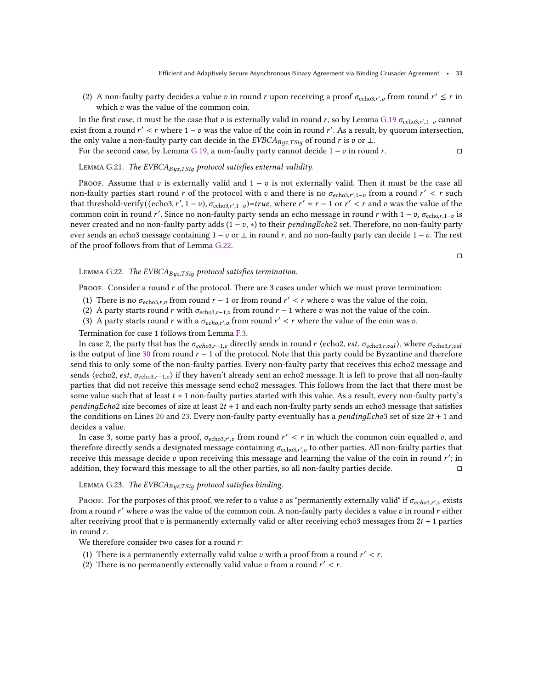(2) A non-faulty party decides a value v in round r upon receiving a proof  $\sigma_{\text{echo3},r',v}$  from round  $r' \leq r$  in which  $v$  was the value of the common coin.

In the first case, it must be the case that  $v$  is externally valid in round  $r$ , so by Lemma [G.19](#page-31-1)  $\sigma_{\rm echo3, r', 1-v}$  cannot exist from a round  $r' < r$  where  $1 - v$  was the value of the coin in round r'. As a result, by quorum intersection, the only value a non-faulty party can decide in the  $EVBCA_{Byz,TSig}$  of round r is v or ⊥.

For the second case, by Lemma [G.19,](#page-31-1) a non-faulty party cannot decide  $1 - v$  in round r. □

<span id="page-32-0"></span>LEMMA G.21. The EVBC $A_{Byz,TSiq}$  protocol satisfies external validity.

Proof. Assume that v is externally valid and  $1 - v$  is not externally valid. Then it must be the case all non-faulty parties start round r of the protocol with v and there is no  $\sigma_{\text{echo3},r',1-v}$  from a round  $r' < r$  such that threshold-verify((echo3, r', 1 – v),  $\sigma_{\text{echo3}, r', 1-v}$ )=true, where r' = r – 1 or r' < r and v was the value of the common coin in round r'. Since no non-faulty party sends an echo message in round r with  $1 - v$ ,  $\sigma_{\text{echo},r,1-v}$  is never created and no non-faulty party adds  $(1 - v, *)$  to their *pendingEcho2* set. Therefore, no non-faulty party ever sends an echo3 message containing  $1 - v$  or  $\perp$  in round r, and no non-faulty party can decide  $1 - v$ . The rest of the proof follows from that of Lemma [G.22.](#page-32-1)

□

### <span id="page-32-1"></span>LEMMA G.22. The EVBCA $_{Byz, TSig}$  protocol satisfies termination.

PROOF. Consider a round  $r$  of the protocol. There are 3 cases under which we must prove termination:

- (1) There is no  $\sigma_{\text{echo3},r,v}$  from round  $r-1$  or from round  $r' < r$  where v was the value of the coin.
- (2) A party starts round r with  $\sigma_{\text{echo3},r-1,v}$  from round  $r-1$  where v was not the value of the coin.
- (3) A party starts round r with a  $\sigma_{echo,r',v}$  from round  $r' < r$  where the value of the coin was v.

Termination for case 1 follows from Lemma [F.3.](#page-25-3)

In case 2, the party that has the  $\sigma_{echo3,r-1, v}$  directly sends in round r (echo2, est,  $\sigma_{echo3,r, val}$ ), where  $\sigma_{echo3,r, val}$ is the output of line [30](#page-24-0) from round  $r - 1$  of the protocol. Note that this party could be Byzantine and therefore send this to only some of the non-faulty parties. Every non-faulty party that receives this echo2 message and sends  $\langle$ echo2, est,  $\sigma_{\rm echo3,r-1.0}$  if they haven't already sent an echo2 message. It is left to prove that all non-faulty parties that did not receive this message send echo2 messages. This follows from the fact that there must be some value such that at least  $t + 1$  non-faulty parties started with this value. As a result, every non-faulty party's *pendingEcho2* size becomes of size at least  $2t + 1$  and each non-faulty party sends an echo3 message that satisfies the conditions on Lines [20](#page-24-0) and [23.](#page-24-0) Every non-faulty party eventually has a *pendingEcho3* set of size  $2t + 1$  and decides a value.

In case 3, some party has a proof,  $\sigma_{\text{echo3}, r', v}$  from round  $r' < r$  in which the common coin equalled v, and therefore directly sends a designated message containing  $\sigma_{\text{echo3},r',v}$  to other parties. All non-faulty parties that receive this message decide v upon receiving this message and learning the value of the coin in round  $r'$ ; in addition, they forward this message to all the other parties, so all non-faulty parties decide. □

<span id="page-32-2"></span>LEMMA G.23. The EVBC $A_{Byz,TSig}$  protocol satisfies binding.

Proof. For the purposes of this proof, we refer to a value  $v$  as "permanently externally valid" if  $\sigma_{echo3.r', v}$  exists from a round r' where v was the value of the common coin. A non-faulty party decides a value v in round r either after receiving proof that  $v$  is permanently externally valid or after receiving echo3 messages from  $2t + 1$  parties in round  $r$ .

We therefore consider two cases for a round  $r$ :

- (1) There is a permanently externally valid value v with a proof from a round  $r' < r$ .
- (2) There is no permanently externally valid value v from a round  $r' < r$ .